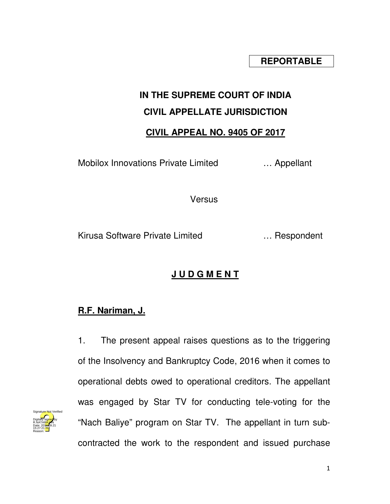# **REPORTABLE**

# **IN THE SUPREME COURT OF INDIA CIVIL APPELLATE JURISDICTION**

# **CIVIL APPEAL NO. 9405 OF 2017**

Mobilox Innovations Private Limited … Appellant

Versus

Kirusa Software Private Limited … Respondent

# **J U D G M E N T**

# **R.F. Nariman, J.**

1. The present appeal raises questions as to the triggering of the Insolvency and Bankruptcy Code, 2016 when it comes to operational debts owed to operational creditors. The appellant was engaged by Star TV for conducting tele-voting for the "Nach Baliye" program on Star TV. The appellant in turn subcontracted the work to the respondent and issued purchase

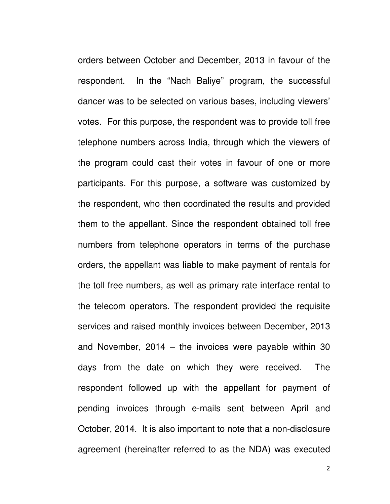orders between October and December, 2013 in favour of the respondent. In the "Nach Baliye" program, the successful dancer was to be selected on various bases, including viewers' votes. For this purpose, the respondent was to provide toll free telephone numbers across India, through which the viewers of the program could cast their votes in favour of one or more participants. For this purpose, a software was customized by the respondent, who then coordinated the results and provided them to the appellant. Since the respondent obtained toll free numbers from telephone operators in terms of the purchase orders, the appellant was liable to make payment of rentals for the toll free numbers, as well as primary rate interface rental to the telecom operators. The respondent provided the requisite services and raised monthly invoices between December, 2013 and November,  $2014 -$  the invoices were payable within 30 days from the date on which they were received. The respondent followed up with the appellant for payment of pending invoices through e-mails sent between April and October, 2014. It is also important to note that a non-disclosure agreement (hereinafter referred to as the NDA) was executed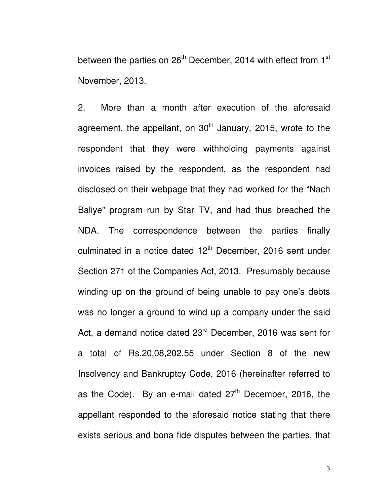between the parties on 26<sup>th</sup> December, 2014 with effect from 1<sup>st</sup> November, 2013.

2. More than a month after execution of the aforesaid agreement, the appellant, on  $30<sup>th</sup>$  January, 2015, wrote to the respondent that they were withholding payments against invoices raised by the respondent, as the respondent had disclosed on their webpage that they had worked for the "Nach Baliye" program run by Star TV, and had thus breached the NDA. The correspondence between the parties finally culminated in a notice dated 12<sup>th</sup> December, 2016 sent under Section 271 of the Companies Act, 2013. Presumably because winding up on the ground of being unable to pay one's debts was no longer a ground to wind up a company under the said Act, a demand notice dated 23<sup>rd</sup> December, 2016 was sent for a total of Rs.20,08,202.55 under Section 8 of the new Insolvency and Bankruptcy Code, 2016 (hereinafter referred to as the Code). By an e-mail dated  $27<sup>th</sup>$  December, 2016, the appellant responded to the aforesaid notice stating that there exists serious and bona fide disputes between the parties, that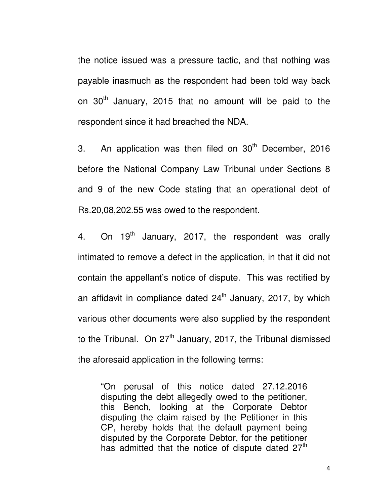the notice issued was a pressure tactic, and that nothing was payable inasmuch as the respondent had been told way back on  $30<sup>th</sup>$  January, 2015 that no amount will be paid to the respondent since it had breached the NDA.

3. An application was then filed on  $30<sup>th</sup>$  December, 2016 before the National Company Law Tribunal under Sections 8 and 9 of the new Code stating that an operational debt of Rs.20,08,202.55 was owed to the respondent.

4. On  $19<sup>th</sup>$  January, 2017, the respondent was orally intimated to remove a defect in the application, in that it did not contain the appellant's notice of dispute. This was rectified by an affidavit in compliance dated  $24<sup>th</sup>$  January, 2017, by which various other documents were also supplied by the respondent to the Tribunal. On  $27<sup>th</sup>$  January, 2017, the Tribunal dismissed the aforesaid application in the following terms:

"On perusal of this notice dated 27.12.2016 disputing the debt allegedly owed to the petitioner, this Bench, looking at the Corporate Debtor disputing the claim raised by the Petitioner in this CP, hereby holds that the default payment being disputed by the Corporate Debtor, for the petitioner has admitted that the notice of dispute dated  $27<sup>th</sup>$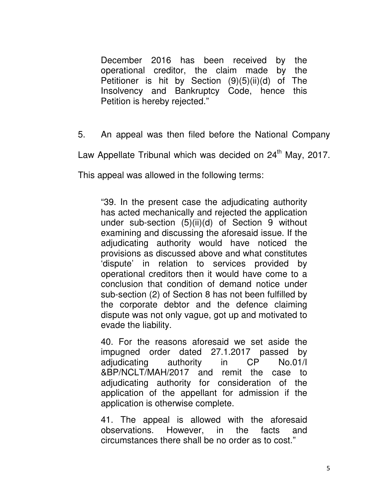December 2016 has been received by the operational creditor, the claim made by the Petitioner is hit by Section (9)(5)(ii)(d) of The Insolvency and Bankruptcy Code, hence this Petition is hereby rejected."

5. An appeal was then filed before the National Company

Law Appellate Tribunal which was decided on  $24<sup>th</sup>$  May, 2017.

This appeal was allowed in the following terms:

"39. In the present case the adjudicating authority has acted mechanically and rejected the application under sub-section (5)(ii)(d) of Section 9 without examining and discussing the aforesaid issue. If the adjudicating authority would have noticed the provisions as discussed above and what constitutes 'dispute' in relation to services provided by operational creditors then it would have come to a conclusion that condition of demand notice under sub-section (2) of Section 8 has not been fulfilled by the corporate debtor and the defence claiming dispute was not only vague, got up and motivated to evade the liability.

40. For the reasons aforesaid we set aside the impugned order dated 27.1.2017 passed by adjudicating authority in CP No.01/I &BP/NCLT/MAH/2017 and remit the case to adjudicating authority for consideration of the application of the appellant for admission if the application is otherwise complete.

41. The appeal is allowed with the aforesaid observations. However, in the facts and circumstances there shall be no order as to cost."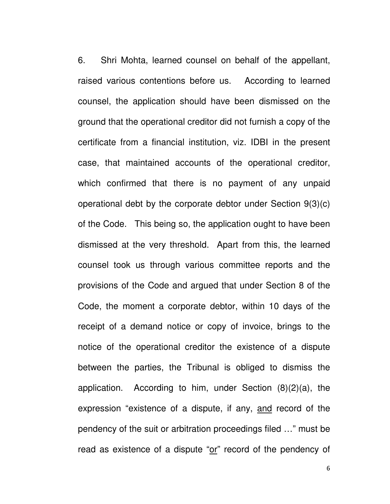6. Shri Mohta, learned counsel on behalf of the appellant, raised various contentions before us. According to learned counsel, the application should have been dismissed on the ground that the operational creditor did not furnish a copy of the certificate from a financial institution, viz. IDBI in the present case, that maintained accounts of the operational creditor, which confirmed that there is no payment of any unpaid operational debt by the corporate debtor under Section 9(3)(c) of the Code. This being so, the application ought to have been dismissed at the very threshold. Apart from this, the learned counsel took us through various committee reports and the provisions of the Code and argued that under Section 8 of the Code, the moment a corporate debtor, within 10 days of the receipt of a demand notice or copy of invoice, brings to the notice of the operational creditor the existence of a dispute between the parties, the Tribunal is obliged to dismiss the application. According to him, under Section (8)(2)(a), the expression "existence of a dispute, if any, and record of the pendency of the suit or arbitration proceedings filed …" must be read as existence of a dispute "or" record of the pendency of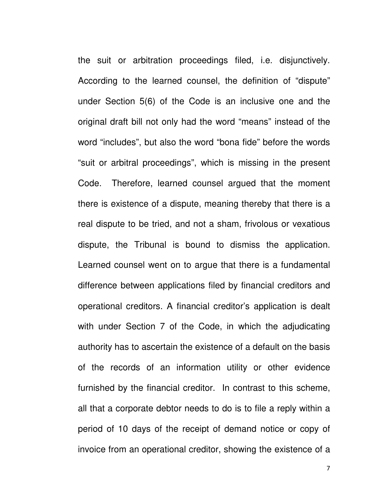the suit or arbitration proceedings filed, i.e. disjunctively. According to the learned counsel, the definition of "dispute" under Section 5(6) of the Code is an inclusive one and the original draft bill not only had the word "means" instead of the word "includes", but also the word "bona fide" before the words "suit or arbitral proceedings", which is missing in the present Code. Therefore, learned counsel argued that the moment there is existence of a dispute, meaning thereby that there is a real dispute to be tried, and not a sham, frivolous or vexatious dispute, the Tribunal is bound to dismiss the application. Learned counsel went on to argue that there is a fundamental difference between applications filed by financial creditors and operational creditors. A financial creditor's application is dealt with under Section 7 of the Code, in which the adjudicating authority has to ascertain the existence of a default on the basis of the records of an information utility or other evidence furnished by the financial creditor. In contrast to this scheme, all that a corporate debtor needs to do is to file a reply within a period of 10 days of the receipt of demand notice or copy of invoice from an operational creditor, showing the existence of a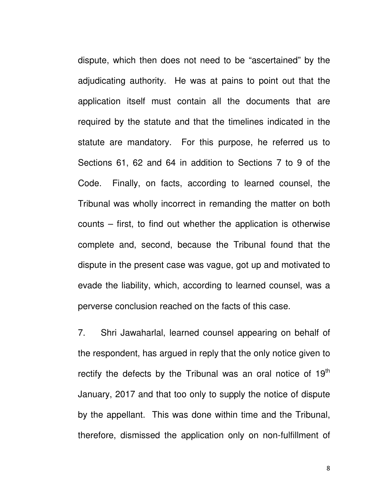dispute, which then does not need to be "ascertained" by the adjudicating authority. He was at pains to point out that the application itself must contain all the documents that are required by the statute and that the timelines indicated in the statute are mandatory. For this purpose, he referred us to Sections 61, 62 and 64 in addition to Sections 7 to 9 of the Code. Finally, on facts, according to learned counsel, the Tribunal was wholly incorrect in remanding the matter on both counts – first, to find out whether the application is otherwise complete and, second, because the Tribunal found that the dispute in the present case was vague, got up and motivated to evade the liability, which, according to learned counsel, was a perverse conclusion reached on the facts of this case.

7. Shri Jawaharlal, learned counsel appearing on behalf of the respondent, has argued in reply that the only notice given to rectify the defects by the Tribunal was an oral notice of  $19<sup>th</sup>$ January, 2017 and that too only to supply the notice of dispute by the appellant. This was done within time and the Tribunal, therefore, dismissed the application only on non-fulfillment of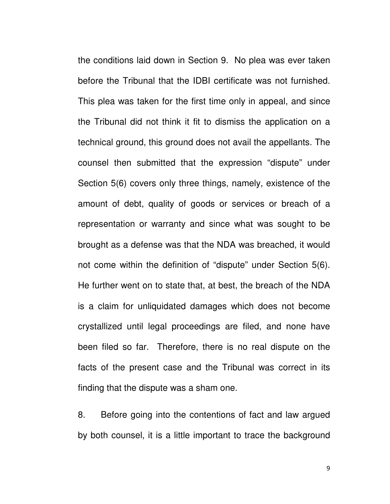the conditions laid down in Section 9. No plea was ever taken before the Tribunal that the IDBI certificate was not furnished. This plea was taken for the first time only in appeal, and since the Tribunal did not think it fit to dismiss the application on a technical ground, this ground does not avail the appellants. The counsel then submitted that the expression "dispute" under Section 5(6) covers only three things, namely, existence of the amount of debt, quality of goods or services or breach of a representation or warranty and since what was sought to be brought as a defense was that the NDA was breached, it would not come within the definition of "dispute" under Section 5(6). He further went on to state that, at best, the breach of the NDA is a claim for unliquidated damages which does not become crystallized until legal proceedings are filed, and none have been filed so far. Therefore, there is no real dispute on the facts of the present case and the Tribunal was correct in its finding that the dispute was a sham one.

8. Before going into the contentions of fact and law argued by both counsel, it is a little important to trace the background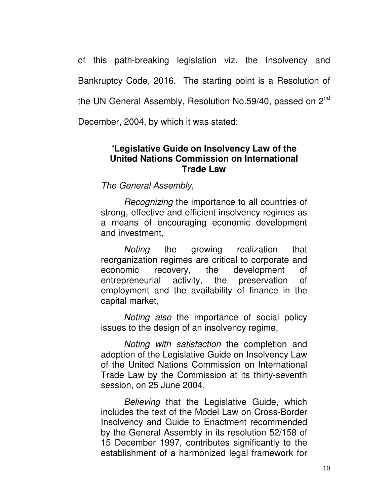of this path-breaking legislation viz. the Insolvency and Bankruptcy Code, 2016. The starting point is a Resolution of the UN General Assembly, Resolution No.59/40, passed on 2<sup>nd</sup> December, 2004, by which it was stated:

## "**Legislative Guide on Insolvency Law of the United Nations Commission on International Trade Law**

## *The General Assembly*,

*Recognizing* the importance to all countries of strong, effective and efficient insolvency regimes as a means of encouraging economic development and investment,

*Noting* the growing realization that reorganization regimes are critical to corporate and economic recovery, the development of entrepreneurial activity, the preservation of employment and the availability of finance in the capital market,

*Noting also* the importance of social policy issues to the design of an insolvency regime,

*Noting with satisfaction* the completion and adoption of the Legislative Guide on Insolvency Law of the United Nations Commission on International Trade Law by the Commission at its thirty-seventh session, on 25 June 2004,

*Believing* that the Legislative Guide, which includes the text of the Model Law on Cross-Border Insolvency and Guide to Enactment recommended by the General Assembly in its resolution 52/158 of 15 December 1997, contributes significantly to the establishment of a harmonized legal framework for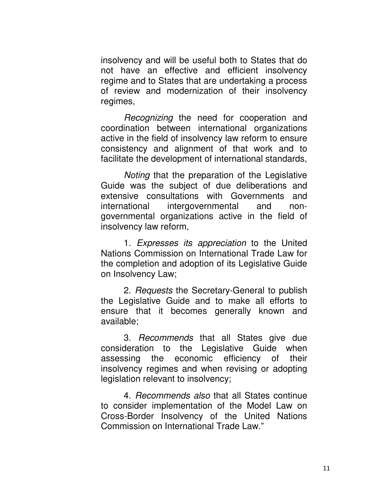insolvency and will be useful both to States that do not have an effective and efficient insolvency regime and to States that are undertaking a process of review and modernization of their insolvency regimes,

*Recognizing* the need for cooperation and coordination between international organizations active in the field of insolvency law reform to ensure consistency and alignment of that work and to facilitate the development of international standards,

*Noting* that the preparation of the Legislative Guide was the subject of due deliberations and extensive consultations with Governments and international intergovernmental and nongovernmental organizations active in the field of insolvency law reform,

1. *Expresses its appreciation* to the United Nations Commission on International Trade Law for the completion and adoption of its Legislative Guide on Insolvency Law;

2. *Requests* the Secretary-General to publish the Legislative Guide and to make all efforts to ensure that it becomes generally known and available;

3. *Recommends* that all States give due consideration to the Legislative Guide when assessing the economic efficiency of their insolvency regimes and when revising or adopting legislation relevant to insolvency;

4. *Recommends also* that all States continue to consider implementation of the Model Law on Cross-Border Insolvency of the United Nations Commission on International Trade Law."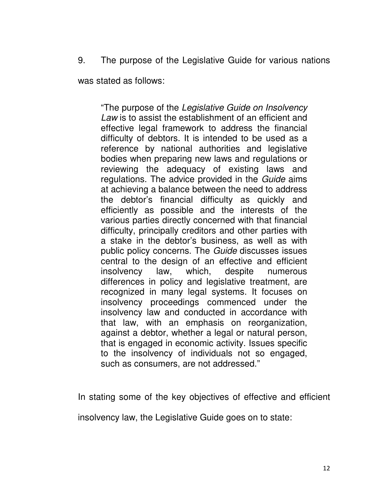9. The purpose of the Legislative Guide for various nations

was stated as follows:

"The purpose of the *Legislative Guide on Insolvency Law* is to assist the establishment of an efficient and effective legal framework to address the financial difficulty of debtors. It is intended to be used as a reference by national authorities and legislative bodies when preparing new laws and regulations or reviewing the adequacy of existing laws and regulations. The advice provided in the *Guide* aims at achieving a balance between the need to address the debtor's financial difficulty as quickly and efficiently as possible and the interests of the various parties directly concerned with that financial difficulty, principally creditors and other parties with a stake in the debtor's business, as well as with public policy concerns. The *Guide* discusses issues central to the design of an effective and efficient insolvency law, which, despite numerous differences in policy and legislative treatment, are recognized in many legal systems. It focuses on insolvency proceedings commenced under the insolvency law and conducted in accordance with that law, with an emphasis on reorganization, against a debtor, whether a legal or natural person, that is engaged in economic activity. Issues specific to the insolvency of individuals not so engaged, such as consumers, are not addressed."

In stating some of the key objectives of effective and efficient

insolvency law, the Legislative Guide goes on to state: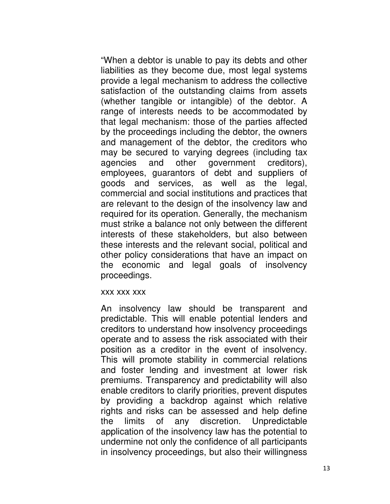"When a debtor is unable to pay its debts and other liabilities as they become due, most legal systems provide a legal mechanism to address the collective satisfaction of the outstanding claims from assets (whether tangible or intangible) of the debtor. A range of interests needs to be accommodated by that legal mechanism: those of the parties affected by the proceedings including the debtor, the owners and management of the debtor, the creditors who may be secured to varying degrees (including tax agencies and other government creditors), employees, guarantors of debt and suppliers of goods and services, as well as the legal, commercial and social institutions and practices that are relevant to the design of the insolvency law and required for its operation. Generally, the mechanism must strike a balance not only between the different interests of these stakeholders, but also between these interests and the relevant social, political and other policy considerations that have an impact on the economic and legal goals of insolvency proceedings.

#### xxx xxx xxx

An insolvency law should be transparent and predictable. This will enable potential lenders and creditors to understand how insolvency proceedings operate and to assess the risk associated with their position as a creditor in the event of insolvency. This will promote stability in commercial relations and foster lending and investment at lower risk premiums. Transparency and predictability will also enable creditors to clarify priorities, prevent disputes by providing a backdrop against which relative rights and risks can be assessed and help define the limits of any discretion. Unpredictable application of the insolvency law has the potential to undermine not only the confidence of all participants in insolvency proceedings, but also their willingness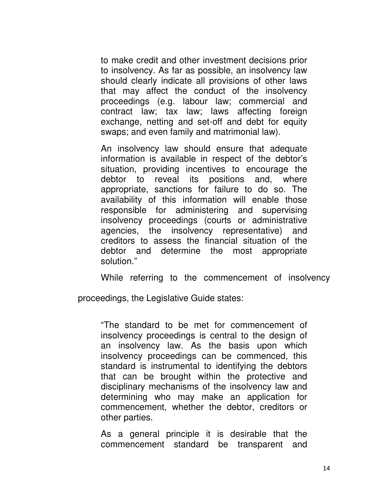to make credit and other investment decisions prior to insolvency. As far as possible, an insolvency law should clearly indicate all provisions of other laws that may affect the conduct of the insolvency proceedings (e.g. labour law; commercial and contract law; tax law; laws affecting foreign exchange, netting and set-off and debt for equity swaps; and even family and matrimonial law).

An insolvency law should ensure that adequate information is available in respect of the debtor's situation, providing incentives to encourage the debtor to reveal its positions and, where appropriate, sanctions for failure to do so. The availability of this information will enable those responsible for administering and supervising insolvency proceedings (courts or administrative agencies, the insolvency representative) and creditors to assess the financial situation of the debtor and determine the most appropriate solution."

While referring to the commencement of insolvency

proceedings, the Legislative Guide states:

"The standard to be met for commencement of insolvency proceedings is central to the design of an insolvency law. As the basis upon which insolvency proceedings can be commenced, this standard is instrumental to identifying the debtors that can be brought within the protective and disciplinary mechanisms of the insolvency law and determining who may make an application for commencement, whether the debtor, creditors or other parties.

As a general principle it is desirable that the commencement standard be transparent and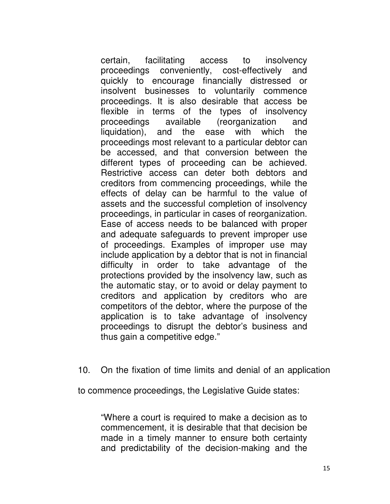certain, facilitating access to insolvency proceedings conveniently, cost-effectively and quickly to encourage financially distressed or insolvent businesses to voluntarily commence proceedings. It is also desirable that access be flexible in terms of the types of insolvency proceedings available (reorganization and liquidation), and the ease with which the proceedings most relevant to a particular debtor can be accessed, and that conversion between the different types of proceeding can be achieved. Restrictive access can deter both debtors and creditors from commencing proceedings, while the effects of delay can be harmful to the value of assets and the successful completion of insolvency proceedings, in particular in cases of reorganization. Ease of access needs to be balanced with proper and adequate safeguards to prevent improper use of proceedings. Examples of improper use may include application by a debtor that is not in financial difficulty in order to take advantage of the protections provided by the insolvency law, such as the automatic stay, or to avoid or delay payment to creditors and application by creditors who are competitors of the debtor, where the purpose of the application is to take advantage of insolvency proceedings to disrupt the debtor's business and thus gain a competitive edge."

10. On the fixation of time limits and denial of an application

to commence proceedings, the Legislative Guide states:

"Where a court is required to make a decision as to commencement, it is desirable that that decision be made in a timely manner to ensure both certainty and predictability of the decision-making and the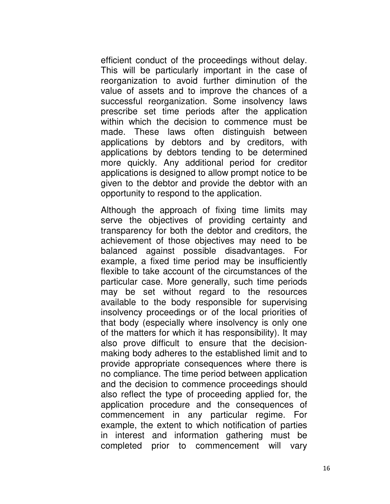efficient conduct of the proceedings without delay. This will be particularly important in the case of reorganization to avoid further diminution of the value of assets and to improve the chances of a successful reorganization. Some insolvency laws prescribe set time periods after the application within which the decision to commence must be made. These laws often distinguish between applications by debtors and by creditors, with applications by debtors tending to be determined more quickly. Any additional period for creditor applications is designed to allow prompt notice to be given to the debtor and provide the debtor with an opportunity to respond to the application.

Although the approach of fixing time limits may serve the objectives of providing certainty and transparency for both the debtor and creditors, the achievement of those objectives may need to be balanced against possible disadvantages. For example, a fixed time period may be insufficiently flexible to take account of the circumstances of the particular case. More generally, such time periods may be set without regard to the resources available to the body responsible for supervising insolvency proceedings or of the local priorities of that body (especially where insolvency is only one of the matters for which it has responsibility). It may also prove difficult to ensure that the decisionmaking body adheres to the established limit and to provide appropriate consequences where there is no compliance. The time period between application and the decision to commence proceedings should also reflect the type of proceeding applied for, the application procedure and the consequences of commencement in any particular regime. For example, the extent to which notification of parties in interest and information gathering must be completed prior to commencement will vary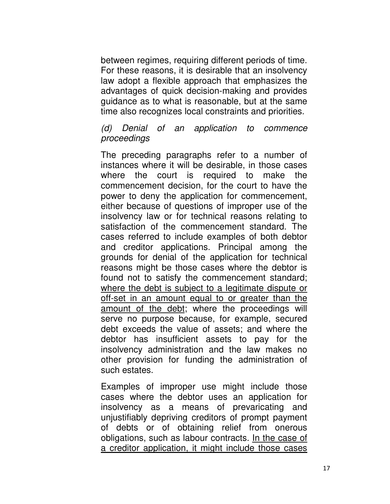between regimes, requiring different periods of time. For these reasons, it is desirable that an insolvency law adopt a flexible approach that emphasizes the advantages of quick decision-making and provides guidance as to what is reasonable, but at the same time also recognizes local constraints and priorities.

## *(d) Denial of an application to commence proceedings*

The preceding paragraphs refer to a number of instances where it will be desirable, in those cases where the court is required to make the commencement decision, for the court to have the power to deny the application for commencement, either because of questions of improper use of the insolvency law or for technical reasons relating to satisfaction of the commencement standard. The cases referred to include examples of both debtor and creditor applications. Principal among the grounds for denial of the application for technical reasons might be those cases where the debtor is found not to satisfy the commencement standard; where the debt is subject to a legitimate dispute or off-set in an amount equal to or greater than the amount of the debt; where the proceedings will serve no purpose because, for example, secured debt exceeds the value of assets; and where the debtor has insufficient assets to pay for the insolvency administration and the law makes no other provision for funding the administration of such estates.

Examples of improper use might include those cases where the debtor uses an application for insolvency as a means of prevaricating and unjustifiably depriving creditors of prompt payment of debts or of obtaining relief from onerous obligations, such as labour contracts. In the case of a creditor application, it might include those cases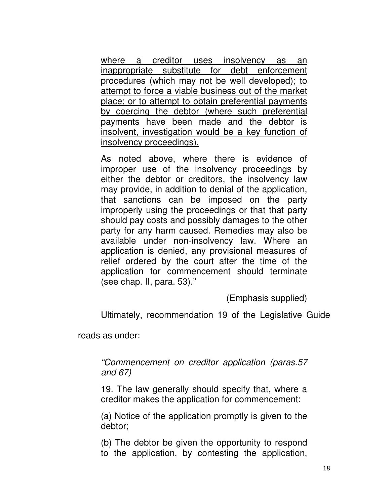where a creditor uses insolvency as an inappropriate substitute for debt enforcement procedures (which may not be well developed); to attempt to force a viable business out of the market place; or to attempt to obtain preferential payments by coercing the debtor (where such preferential payments have been made and the debtor is insolvent, investigation would be a key function of insolvency proceedings).

As noted above, where there is evidence of improper use of the insolvency proceedings by either the debtor or creditors, the insolvency law may provide, in addition to denial of the application, that sanctions can be imposed on the party improperly using the proceedings or that that party should pay costs and possibly damages to the other party for any harm caused. Remedies may also be available under non-insolvency law. Where an application is denied, any provisional measures of relief ordered by the court after the time of the application for commencement should terminate (see chap. II, para. 53)."

(Emphasis supplied)

Ultimately, recommendation 19 of the Legislative Guide

reads as under:

*"Commencement on creditor application (paras.57 and 67)* 

19. The law generally should specify that, where a creditor makes the application for commencement:

(a) Notice of the application promptly is given to the debtor;

(b) The debtor be given the opportunity to respond to the application, by contesting the application,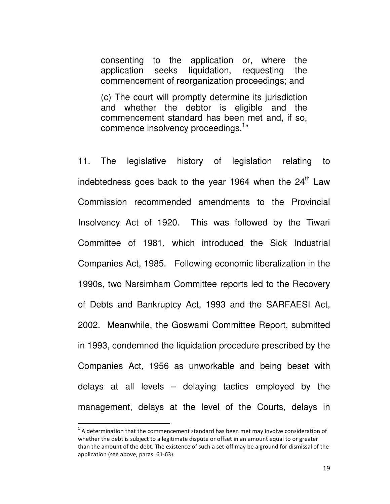consenting to the application or, where the application seeks liquidation, requesting the commencement of reorganization proceedings; and

(c) The court will promptly determine its jurisdiction and whether the debtor is eligible and the commencement standard has been met and, if so, commence insolvency proceedings.<sup>1</sup>"

11. The legislative history of legislation relating to indebtedness goes back to the year 1964 when the  $24<sup>th</sup>$  Law Commission recommended amendments to the Provincial Insolvency Act of 1920. This was followed by the Tiwari Committee of 1981, which introduced the Sick Industrial Companies Act, 1985. Following economic liberalization in the 1990s, two Narsimham Committee reports led to the Recovery of Debts and Bankruptcy Act, 1993 and the SARFAESI Act, 2002. Meanwhile, the Goswami Committee Report, submitted in 1993, condemned the liquidation procedure prescribed by the Companies Act, 1956 as unworkable and being beset with delays at all levels – delaying tactics employed by the management, delays at the level of the Courts, delays in

l

 $<sup>1</sup>$  A determination that the commencement standard has been met may involve consideration of</sup> whether the debt is subject to a legitimate dispute or offset in an amount equal to or greater than the amount of the debt. The existence of such a set-off may be a ground for dismissal of the application (see above, paras. 61-63).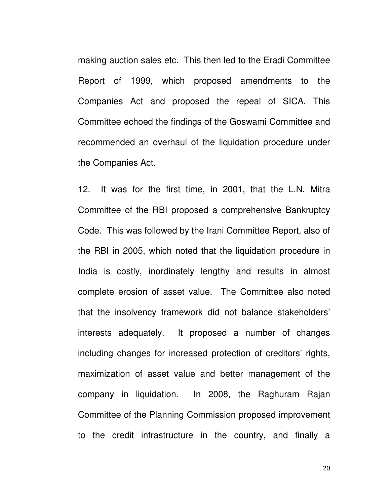making auction sales etc. This then led to the Eradi Committee Report of 1999, which proposed amendments to the Companies Act and proposed the repeal of SICA. This Committee echoed the findings of the Goswami Committee and recommended an overhaul of the liquidation procedure under the Companies Act.

12. It was for the first time, in 2001, that the L.N. Mitra Committee of the RBI proposed a comprehensive Bankruptcy Code. This was followed by the Irani Committee Report, also of the RBI in 2005, which noted that the liquidation procedure in India is costly, inordinately lengthy and results in almost complete erosion of asset value. The Committee also noted that the insolvency framework did not balance stakeholders' interests adequately. It proposed a number of changes including changes for increased protection of creditors' rights, maximization of asset value and better management of the company in liquidation. In 2008, the Raghuram Rajan Committee of the Planning Commission proposed improvement to the credit infrastructure in the country, and finally a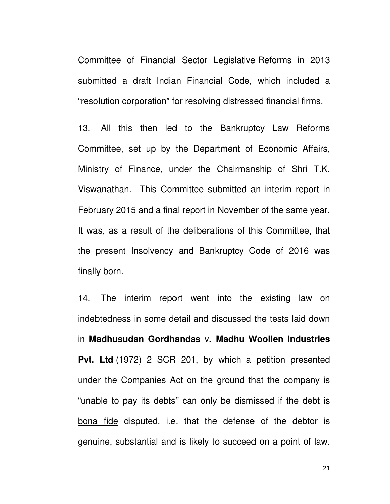Committee of Financial Sector Legislative Reforms in 2013 submitted a draft Indian Financial Code, which included a "resolution corporation" for resolving distressed financial firms.

13. All this then led to the Bankruptcy Law Reforms Committee, set up by the Department of Economic Affairs, Ministry of Finance, under the Chairmanship of Shri T.K. Viswanathan. This Committee submitted an interim report in February 2015 and a final report in November of the same year. It was, as a result of the deliberations of this Committee, that the present Insolvency and Bankruptcy Code of 2016 was finally born.

14. The interim report went into the existing law on indebtedness in some detail and discussed the tests laid down in **Madhusudan Gordhandas** v**. Madhu Woollen Industries Pvt. Ltd** (1972) 2 SCR 201, by which a petition presented under the Companies Act on the ground that the company is "unable to pay its debts" can only be dismissed if the debt is bona fide disputed, i.e. that the defense of the debtor is genuine, substantial and is likely to succeed on a point of law.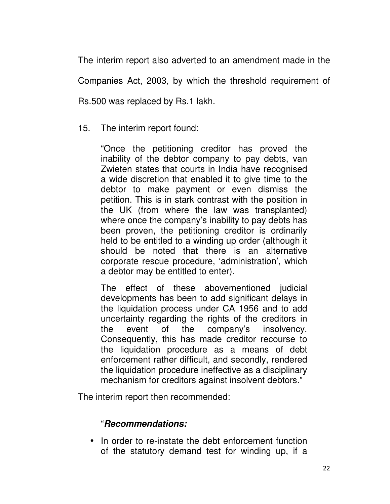The interim report also adverted to an amendment made in the

Companies Act, 2003, by which the threshold requirement of

Rs.500 was replaced by Rs.1 lakh.

# 15. The interim report found:

"Once the petitioning creditor has proved the inability of the debtor company to pay debts, van Zwieten states that courts in India have recognised a wide discretion that enabled it to give time to the debtor to make payment or even dismiss the petition. This is in stark contrast with the position in the UK (from where the law was transplanted) where once the company's inability to pay debts has been proven, the petitioning creditor is ordinarily held to be entitled to a winding up order (although it should be noted that there is an alternative corporate rescue procedure, 'administration', which a debtor may be entitled to enter).

The effect of these abovementioned judicial developments has been to add significant delays in the liquidation process under CA 1956 and to add uncertainty regarding the rights of the creditors in the event of the company's insolvency. Consequently, this has made creditor recourse to the liquidation procedure as a means of debt enforcement rather difficult, and secondly, rendered the liquidation procedure ineffective as a disciplinary mechanism for creditors against insolvent debtors."

The interim report then recommended:

# "**Recommendations:**

• In order to re-instate the debt enforcement function of the statutory demand test for winding up, if a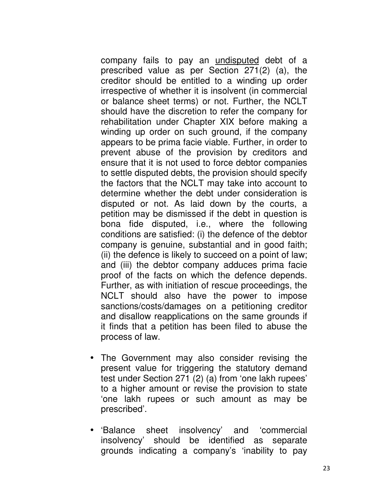company fails to pay an undisputed debt of a prescribed value as per Section 271(2) (a), the creditor should be entitled to a winding up order irrespective of whether it is insolvent (in commercial or balance sheet terms) or not. Further, the NCLT should have the discretion to refer the company for rehabilitation under Chapter XIX before making a winding up order on such ground, if the company appears to be prima facie viable. Further, in order to prevent abuse of the provision by creditors and ensure that it is not used to force debtor companies to settle disputed debts, the provision should specify the factors that the NCLT may take into account to determine whether the debt under consideration is disputed or not. As laid down by the courts, a petition may be dismissed if the debt in question is bona fide disputed, i.e., where the following conditions are satisfied: (i) the defence of the debtor company is genuine, substantial and in good faith; (ii) the defence is likely to succeed on a point of law; and (iii) the debtor company adduces prima facie proof of the facts on which the defence depends. Further, as with initiation of rescue proceedings, the NCLT should also have the power to impose sanctions/costs/damages on a petitioning creditor and disallow reapplications on the same grounds if it finds that a petition has been filed to abuse the process of law.

- The Government may also consider revising the present value for triggering the statutory demand test under Section 271 (2) (a) from 'one lakh rupees' to a higher amount or revise the provision to state 'one lakh rupees or such amount as may be prescribed'.
- 'Balance sheet insolvency' and 'commercial insolvency' should be identified as separate grounds indicating a company's 'inability to pay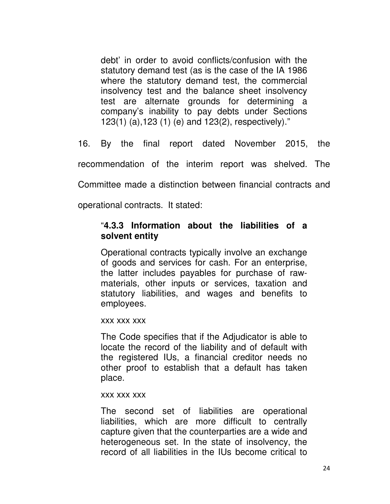debt' in order to avoid conflicts/confusion with the statutory demand test (as is the case of the IA 1986 where the statutory demand test, the commercial insolvency test and the balance sheet insolvency test are alternate grounds for determining a company's inability to pay debts under Sections 123(1) (a),123 (1) (e) and 123(2), respectively)."

16. By the final report dated November 2015, the recommendation of the interim report was shelved. The Committee made a distinction between financial contracts and operational contracts. It stated:

## "**4.3.3 Information about the liabilities of a solvent entity**

Operational contracts typically involve an exchange of goods and services for cash. For an enterprise, the latter includes payables for purchase of rawmaterials, other inputs or services, taxation and statutory liabilities, and wages and benefits to employees.

xxx xxx xxx

The Code specifies that if the Adjudicator is able to locate the record of the liability and of default with the registered IUs, a financial creditor needs no other proof to establish that a default has taken place.

#### xxx xxx xxx

The second set of liabilities are operational liabilities, which are more difficult to centrally capture given that the counterparties are a wide and heterogeneous set. In the state of insolvency, the record of all liabilities in the IUs become critical to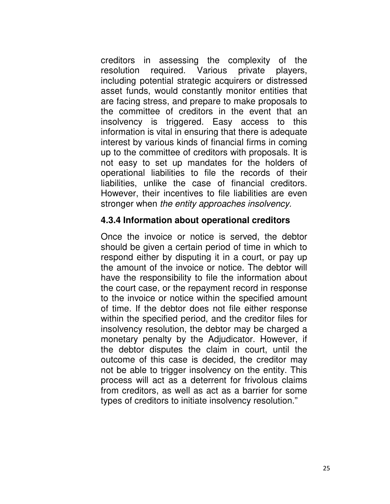creditors in assessing the complexity of the resolution required. Various private players, including potential strategic acquirers or distressed asset funds, would constantly monitor entities that are facing stress, and prepare to make proposals to the committee of creditors in the event that an insolvency is triggered. Easy access to this information is vital in ensuring that there is adequate interest by various kinds of financial firms in coming up to the committee of creditors with proposals. It is not easy to set up mandates for the holders of operational liabilities to file the records of their liabilities, unlike the case of financial creditors. However, their incentives to file liabilities are even stronger when *the entity approaches insolvency.* 

## **4.3.4 Information about operational creditors**

Once the invoice or notice is served, the debtor should be given a certain period of time in which to respond either by disputing it in a court, or pay up the amount of the invoice or notice. The debtor will have the responsibility to file the information about the court case, or the repayment record in response to the invoice or notice within the specified amount of time. If the debtor does not file either response within the specified period, and the creditor files for insolvency resolution, the debtor may be charged a monetary penalty by the Adjudicator. However, if the debtor disputes the claim in court, until the outcome of this case is decided, the creditor may not be able to trigger insolvency on the entity. This process will act as a deterrent for frivolous claims from creditors, as well as act as a barrier for some types of creditors to initiate insolvency resolution."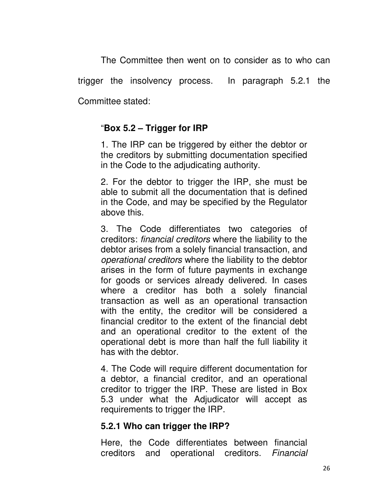The Committee then went on to consider as to who can trigger the insolvency process. In paragraph 5.2.1 the Committee stated:

# "**Box 5.2 – Trigger for IRP**

1. The IRP can be triggered by either the debtor or the creditors by submitting documentation specified in the Code to the adjudicating authority.

2. For the debtor to trigger the IRP, she must be able to submit all the documentation that is defined in the Code, and may be specified by the Regulator above this.

3. The Code differentiates two categories of creditors: *financial creditors* where the liability to the debtor arises from a solely financial transaction, and *operational creditors* where the liability to the debtor arises in the form of future payments in exchange for goods or services already delivered. In cases where a creditor has both a solely financial transaction as well as an operational transaction with the entity, the creditor will be considered a financial creditor to the extent of the financial debt and an operational creditor to the extent of the operational debt is more than half the full liability it has with the debtor.

4. The Code will require different documentation for a debtor, a financial creditor, and an operational creditor to trigger the IRP. These are listed in Box 5.3 under what the Adjudicator will accept as requirements to trigger the IRP.

# **5.2.1 Who can trigger the IRP?**

Here, the Code differentiates between financial creditors and operational creditors. *Financial*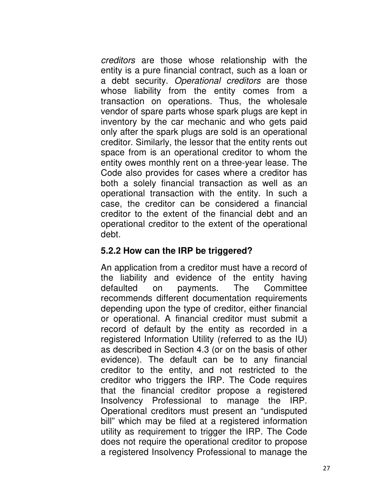*creditors* are those whose relationship with the entity is a pure financial contract, such as a loan or a debt security. *Operational creditors* are those whose liability from the entity comes from a transaction on operations. Thus, the wholesale vendor of spare parts whose spark plugs are kept in inventory by the car mechanic and who gets paid only after the spark plugs are sold is an operational creditor. Similarly, the lessor that the entity rents out space from is an operational creditor to whom the entity owes monthly rent on a three-year lease. The Code also provides for cases where a creditor has both a solely financial transaction as well as an operational transaction with the entity. In such a case, the creditor can be considered a financial creditor to the extent of the financial debt and an operational creditor to the extent of the operational debt.

## **5.2.2 How can the IRP be triggered?**

An application from a creditor must have a record of the liability and evidence of the entity having defaulted on payments. The Committee recommends different documentation requirements depending upon the type of creditor, either financial or operational. A financial creditor must submit a record of default by the entity as recorded in a registered Information Utility (referred to as the IU) as described in Section 4.3 (or on the basis of other evidence). The default can be to any financial creditor to the entity, and not restricted to the creditor who triggers the IRP. The Code requires that the financial creditor propose a registered Insolvency Professional to manage the IRP. Operational creditors must present an "undisputed bill" which may be filed at a registered information utility as requirement to trigger the IRP. The Code does not require the operational creditor to propose a registered Insolvency Professional to manage the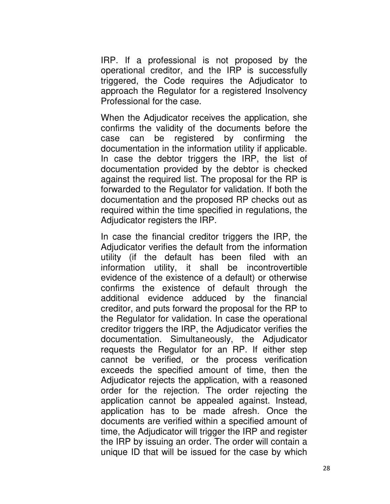IRP. If a professional is not proposed by the operational creditor, and the IRP is successfully triggered, the Code requires the Adjudicator to approach the Regulator for a registered Insolvency Professional for the case.

When the Adjudicator receives the application, she confirms the validity of the documents before the case can be registered by confirming the documentation in the information utility if applicable. In case the debtor triggers the IRP, the list of documentation provided by the debtor is checked against the required list. The proposal for the RP is forwarded to the Regulator for validation. If both the documentation and the proposed RP checks out as required within the time specified in regulations, the Adjudicator registers the IRP.

In case the financial creditor triggers the IRP, the Adjudicator verifies the default from the information utility (if the default has been filed with an information utility, it shall be incontrovertible evidence of the existence of a default) or otherwise confirms the existence of default through the additional evidence adduced by the financial creditor, and puts forward the proposal for the RP to the Regulator for validation. In case the operational creditor triggers the IRP, the Adjudicator verifies the documentation. Simultaneously, the Adjudicator requests the Regulator for an RP. If either step cannot be verified, or the process verification exceeds the specified amount of time, then the Adjudicator rejects the application, with a reasoned order for the rejection. The order rejecting the application cannot be appealed against. Instead, application has to be made afresh. Once the documents are verified within a specified amount of time, the Adjudicator will trigger the IRP and register the IRP by issuing an order. The order will contain a unique ID that will be issued for the case by which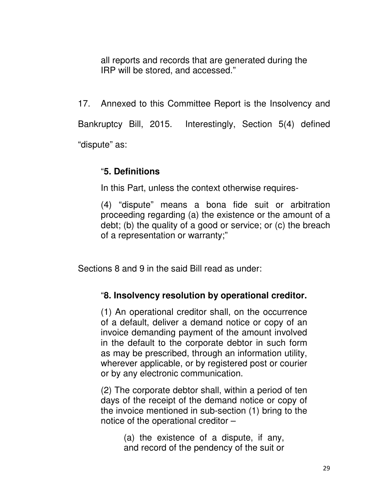all reports and records that are generated during the IRP will be stored, and accessed."

17. Annexed to this Committee Report is the Insolvency and Bankruptcy Bill, 2015. Interestingly, Section 5(4) defined "dispute" as:

## "**5. Definitions**

In this Part, unless the context otherwise requires-

(4) "dispute" means a bona fide suit or arbitration proceeding regarding (a) the existence or the amount of a debt; (b) the quality of a good or service; or (c) the breach of a representation or warranty;"

Sections 8 and 9 in the said Bill read as under:

#### "**8. Insolvency resolution by operational creditor.**

(1) An operational creditor shall, on the occurrence of a default, deliver a demand notice or copy of an invoice demanding payment of the amount involved in the default to the corporate debtor in such form as may be prescribed, through an information utility, wherever applicable, or by registered post or courier or by any electronic communication.

(2) The corporate debtor shall, within a period of ten days of the receipt of the demand notice or copy of the invoice mentioned in sub-section (1) bring to the notice of the operational creditor –

> (a) the existence of a dispute, if any, and record of the pendency of the suit or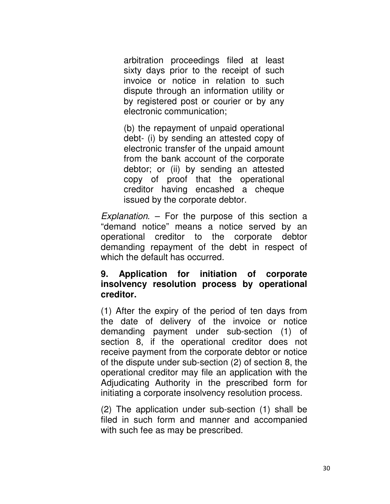arbitration proceedings filed at least sixty days prior to the receipt of such invoice or notice in relation to such dispute through an information utility or by registered post or courier or by any electronic communication;

(b) the repayment of unpaid operational debt- (i) by sending an attested copy of electronic transfer of the unpaid amount from the bank account of the corporate debtor; or (ii) by sending an attested copy of proof that the operational creditor having encashed a cheque issued by the corporate debtor.

*Explanation*. – For the purpose of this section a "demand notice" means a notice served by an operational creditor to the corporate debtor demanding repayment of the debt in respect of which the default has occurred.

## **9. Application for initiation of corporate insolvency resolution process by operational creditor.**

(1) After the expiry of the period of ten days from the date of delivery of the invoice or notice demanding payment under sub-section (1) of section 8, if the operational creditor does not receive payment from the corporate debtor or notice of the dispute under sub-section (2) of section 8, the operational creditor may file an application with the Adjudicating Authority in the prescribed form for initiating a corporate insolvency resolution process.

(2) The application under sub-section (1) shall be filed in such form and manner and accompanied with such fee as may be prescribed.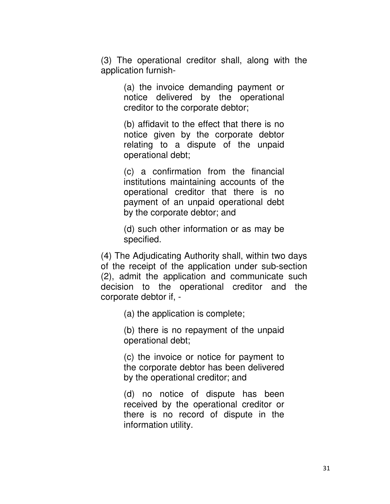(3) The operational creditor shall, along with the application furnish-

> (a) the invoice demanding payment or notice delivered by the operational creditor to the corporate debtor;

> (b) affidavit to the effect that there is no notice given by the corporate debtor relating to a dispute of the unpaid operational debt;

> (c) a confirmation from the financial institutions maintaining accounts of the operational creditor that there is no payment of an unpaid operational debt by the corporate debtor; and

> (d) such other information or as may be specified.

(4) The Adjudicating Authority shall, within two days of the receipt of the application under sub-section (2), admit the application and communicate such decision to the operational creditor and the corporate debtor if, -

(a) the application is complete;

(b) there is no repayment of the unpaid operational debt;

(c) the invoice or notice for payment to the corporate debtor has been delivered by the operational creditor; and

(d) no notice of dispute has been received by the operational creditor or there is no record of dispute in the information utility.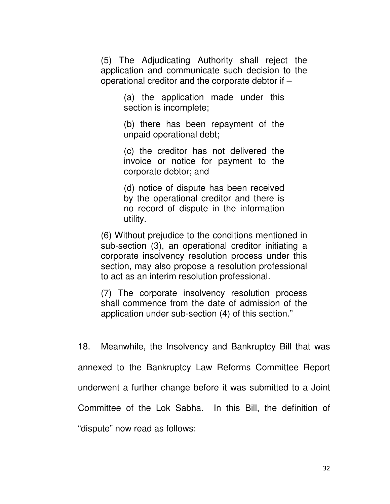(5) The Adjudicating Authority shall reject the application and communicate such decision to the operational creditor and the corporate debtor if –

> (a) the application made under this section is incomplete;

> (b) there has been repayment of the unpaid operational debt;

> (c) the creditor has not delivered the invoice or notice for payment to the corporate debtor; and

> (d) notice of dispute has been received by the operational creditor and there is no record of dispute in the information utility.

(6) Without prejudice to the conditions mentioned in sub-section (3), an operational creditor initiating a corporate insolvency resolution process under this section, may also propose a resolution professional to act as an interim resolution professional.

(7) The corporate insolvency resolution process shall commence from the date of admission of the application under sub-section (4) of this section."

18. Meanwhile, the Insolvency and Bankruptcy Bill that was annexed to the Bankruptcy Law Reforms Committee Report underwent a further change before it was submitted to a Joint Committee of the Lok Sabha. In this Bill, the definition of "dispute" now read as follows: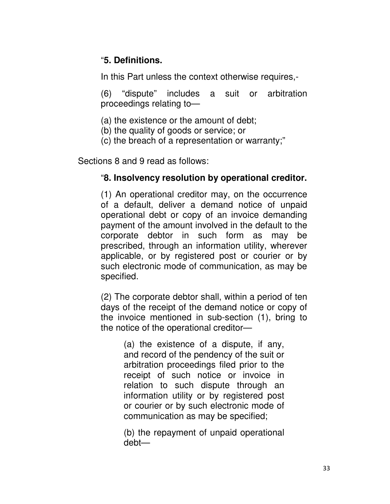# "**5. Definitions.**

In this Part unless the context otherwise requires,-

(6) "dispute" includes a suit or arbitration proceedings relating to—

(a) the existence or the amount of debt;

(b) the quality of goods or service; or

(c) the breach of a representation or warranty;"

Sections 8 and 9 read as follows:

# "**8. Insolvency resolution by operational creditor.**

(1) An operational creditor may, on the occurrence of a default, deliver a demand notice of unpaid operational debt or copy of an invoice demanding payment of the amount involved in the default to the corporate debtor in such form as may be prescribed, through an information utility, wherever applicable, or by registered post or courier or by such electronic mode of communication, as may be specified.

(2) The corporate debtor shall, within a period of ten days of the receipt of the demand notice or copy of the invoice mentioned in sub-section (1), bring to the notice of the operational creditor—

> (a) the existence of a dispute, if any, and record of the pendency of the suit or arbitration proceedings filed prior to the receipt of such notice or invoice in relation to such dispute through an information utility or by registered post or courier or by such electronic mode of communication as may be specified;

(b) the repayment of unpaid operational debt—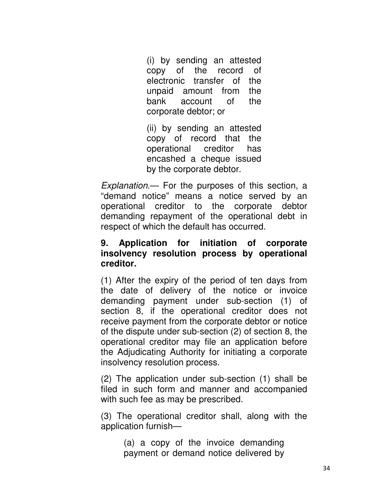(i) by sending an attested copy of the record of electronic transfer of the unpaid amount from the bank account of the corporate debtor; or

(ii) by sending an attested copy of record that the operational creditor has encashed a cheque issued by the corporate debtor.

*Explanation*.— For the purposes of this section, a "demand notice" means a notice served by an operational creditor to the corporate debtor demanding repayment of the operational debt in respect of which the default has occurred.

## **9. Application for initiation of corporate insolvency resolution process by operational creditor.**

(1) After the expiry of the period of ten days from the date of delivery of the notice or invoice demanding payment under sub-section (1) of section 8, if the operational creditor does not receive payment from the corporate debtor or notice of the dispute under sub-section (2) of section 8, the operational creditor may file an application before the Adjudicating Authority for initiating a corporate insolvency resolution process.

(2) The application under sub-section (1) shall be filed in such form and manner and accompanied with such fee as may be prescribed.

(3) The operational creditor shall, along with the application furnish—

> (a) a copy of the invoice demanding payment or demand notice delivered by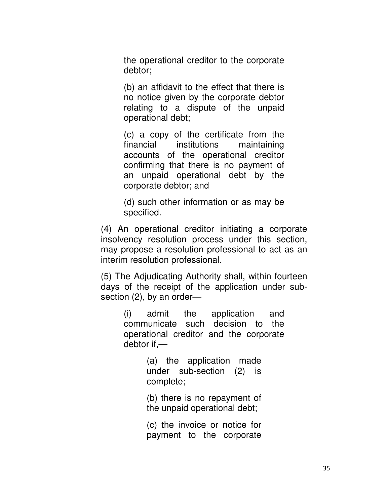the operational creditor to the corporate debtor;

(b) an affidavit to the effect that there is no notice given by the corporate debtor relating to a dispute of the unpaid operational debt;

(c) a copy of the certificate from the financial institutions maintaining accounts of the operational creditor confirming that there is no payment of an unpaid operational debt by the corporate debtor; and

(d) such other information or as may be specified.

(4) An operational creditor initiating a corporate insolvency resolution process under this section, may propose a resolution professional to act as an interim resolution professional.

(5) The Adjudicating Authority shall, within fourteen days of the receipt of the application under subsection (2), by an order—

> (i) admit the application and communicate such decision to the operational creditor and the corporate debtor if,—

> > (a) the application made under sub-section (2) is complete;

> > (b) there is no repayment of the unpaid operational debt;

> > (c) the invoice or notice for payment to the corporate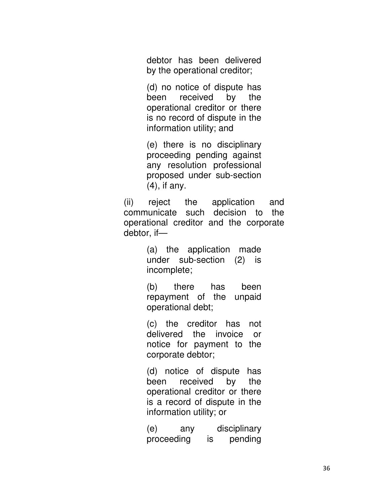debtor has been delivered by the operational creditor;

(d) no notice of dispute has been received by the operational creditor or there is no record of dispute in the information utility; and

(e) there is no disciplinary proceeding pending against any resolution professional proposed under sub-section (4), if any.

(ii) reject the application and communicate such decision to the operational creditor and the corporate debtor, if—

> (a) the application made under sub-section (2) is incomplete;

> (b) there has been repayment of the unpaid operational debt;

> (c) the creditor has not delivered the invoice or notice for payment to the corporate debtor;

> (d) notice of dispute has been received by the operational creditor or there is a record of dispute in the information utility; or

> (e) any disciplinary proceeding is pending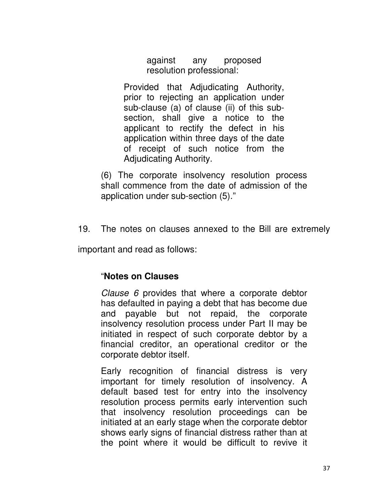against any proposed resolution professional:

Provided that Adjudicating Authority, prior to rejecting an application under sub-clause (a) of clause (ii) of this subsection, shall give a notice to the applicant to rectify the defect in his application within three days of the date of receipt of such notice from the Adjudicating Authority.

(6) The corporate insolvency resolution process shall commence from the date of admission of the application under sub-section (5)."

19. The notes on clauses annexed to the Bill are extremely

important and read as follows:

# "**Notes on Clauses**

*Clause 6* provides that where a corporate debtor has defaulted in paying a debt that has become due and payable but not repaid, the corporate insolvency resolution process under Part II may be initiated in respect of such corporate debtor by a financial creditor, an operational creditor or the corporate debtor itself.

Early recognition of financial distress is very important for timely resolution of insolvency. A default based test for entry into the insolvency resolution process permits early intervention such that insolvency resolution proceedings can be initiated at an early stage when the corporate debtor shows early signs of financial distress rather than at the point where it would be difficult to revive it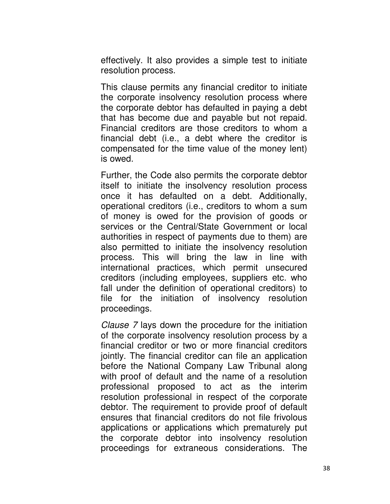effectively. It also provides a simple test to initiate resolution process.

This clause permits any financial creditor to initiate the corporate insolvency resolution process where the corporate debtor has defaulted in paying a debt that has become due and payable but not repaid. Financial creditors are those creditors to whom a financial debt (i.e., a debt where the creditor is compensated for the time value of the money lent) is owed.

Further, the Code also permits the corporate debtor itself to initiate the insolvency resolution process once it has defaulted on a debt. Additionally, operational creditors (i.e., creditors to whom a sum of money is owed for the provision of goods or services or the Central/State Government or local authorities in respect of payments due to them) are also permitted to initiate the insolvency resolution process. This will bring the law in line with international practices, which permit unsecured creditors (including employees, suppliers etc. who fall under the definition of operational creditors) to file for the initiation of insolvency resolution proceedings.

*Clause 7* lays down the procedure for the initiation of the corporate insolvency resolution process by a financial creditor or two or more financial creditors jointly. The financial creditor can file an application before the National Company Law Tribunal along with proof of default and the name of a resolution professional proposed to act as the interim resolution professional in respect of the corporate debtor. The requirement to provide proof of default ensures that financial creditors do not file frivolous applications or applications which prematurely put the corporate debtor into insolvency resolution proceedings for extraneous considerations. The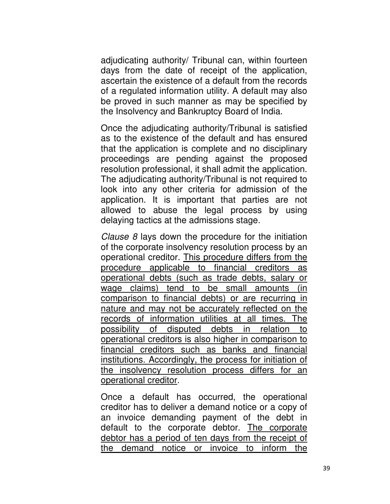adjudicating authority/ Tribunal can, within fourteen days from the date of receipt of the application, ascertain the existence of a default from the records of a regulated information utility. A default may also be proved in such manner as may be specified by the Insolvency and Bankruptcy Board of India.

Once the adjudicating authority/Tribunal is satisfied as to the existence of the default and has ensured that the application is complete and no disciplinary proceedings are pending against the proposed resolution professional, it shall admit the application. The adjudicating authority/Tribunal is not required to look into any other criteria for admission of the application. It is important that parties are not allowed to abuse the legal process by using delaying tactics at the admissions stage.

*Clause 8* lays down the procedure for the initiation of the corporate insolvency resolution process by an operational creditor. This procedure differs from the procedure applicable to financial creditors as operational debts (such as trade debts, salary or wage claims) tend to be small amounts (in comparison to financial debts) or are recurring in nature and may not be accurately reflected on the records of information utilities at all times. The possibility of disputed debts in relation to operational creditors is also higher in comparison to financial creditors such as banks and financial institutions. Accordingly, the process for initiation of the insolvency resolution process differs for an operational creditor.

Once a default has occurred, the operational creditor has to deliver a demand notice or a copy of an invoice demanding payment of the debt in default to the corporate debtor. The corporate debtor has a period of ten days from the receipt of the demand notice or invoice to inform the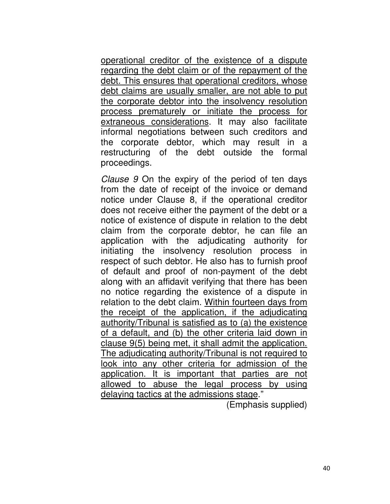operational creditor of the existence of a dispute regarding the debt claim or of the repayment of the debt. This ensures that operational creditors, whose debt claims are usually smaller, are not able to put the corporate debtor into the insolvency resolution process prematurely or initiate the process for extraneous considerations. It may also facilitate informal negotiations between such creditors and the corporate debtor, which may result in a restructuring of the debt outside the formal proceedings.

*Clause 9* On the expiry of the period of ten days from the date of receipt of the invoice or demand notice under Clause 8, if the operational creditor does not receive either the payment of the debt or a notice of existence of dispute in relation to the debt claim from the corporate debtor, he can file an application with the adjudicating authority for initiating the insolvency resolution process in respect of such debtor. He also has to furnish proof of default and proof of non-payment of the debt along with an affidavit verifying that there has been no notice regarding the existence of a dispute in relation to the debt claim. Within fourteen days from the receipt of the application, if the adjudicating authority/Tribunal is satisfied as to (a) the existence of a default, and (b) the other criteria laid down in clause 9(5) being met, it shall admit the application. The adjudicating authority/Tribunal is not required to look into any other criteria for admission of the application. It is important that parties are not allowed to abuse the legal process by using delaying tactics at the admissions stage."

(Emphasis supplied)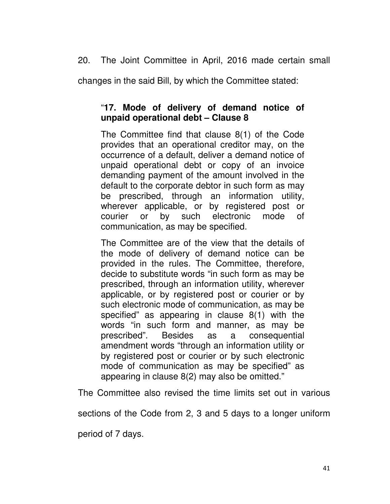20. The Joint Committee in April, 2016 made certain small

changes in the said Bill, by which the Committee stated:

# "**17. Mode of delivery of demand notice of unpaid operational debt – Clause 8**

The Committee find that clause 8(1) of the Code provides that an operational creditor may, on the occurrence of a default, deliver a demand notice of unpaid operational debt or copy of an invoice demanding payment of the amount involved in the default to the corporate debtor in such form as may be prescribed, through an information utility, wherever applicable, or by registered post or courier or by such electronic mode of communication, as may be specified.

The Committee are of the view that the details of the mode of delivery of demand notice can be provided in the rules. The Committee, therefore, decide to substitute words "in such form as may be prescribed, through an information utility, wherever applicable, or by registered post or courier or by such electronic mode of communication, as may be specified" as appearing in clause 8(1) with the words "in such form and manner, as may be prescribed". Besides as a consequential amendment words "through an information utility or by registered post or courier or by such electronic mode of communication as may be specified" as appearing in clause 8(2) may also be omitted."

The Committee also revised the time limits set out in various

sections of the Code from 2, 3 and 5 days to a longer uniform

period of 7 days.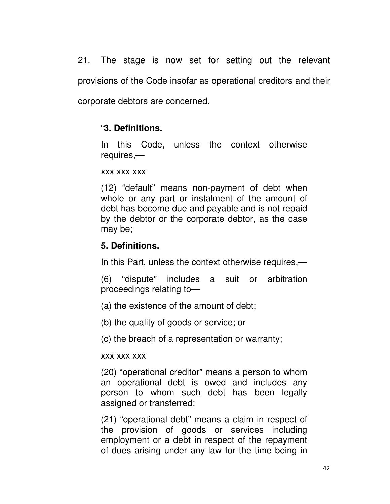21. The stage is now set for setting out the relevant provisions of the Code insofar as operational creditors and their corporate debtors are concerned.

### "**3. Definitions.**

In this Code, unless the context otherwise requires,—

xxx xxx xxx

(12) "default" means non-payment of debt when whole or any part or instalment of the amount of debt has become due and payable and is not repaid by the debtor or the corporate debtor, as the case may be;

#### **5. Definitions.**

In this Part, unless the context otherwise requires,—

(6) "dispute" includes a suit or arbitration proceedings relating to—

- (a) the existence of the amount of debt;
- (b) the quality of goods or service; or

(c) the breach of a representation or warranty;

xxx xxx xxx

(20) "operational creditor" means a person to whom an operational debt is owed and includes any person to whom such debt has been legally assigned or transferred;

(21) "operational debt" means a claim in respect of the provision of goods or services including employment or a debt in respect of the repayment of dues arising under any law for the time being in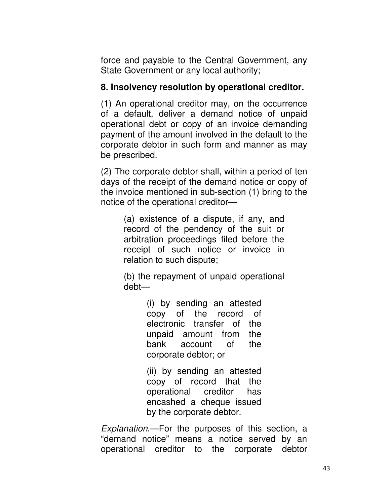force and payable to the Central Government, any State Government or any local authority;

## **8. Insolvency resolution by operational creditor.**

(1) An operational creditor may, on the occurrence of a default, deliver a demand notice of unpaid operational debt or copy of an invoice demanding payment of the amount involved in the default to the corporate debtor in such form and manner as may be prescribed.

(2) The corporate debtor shall, within a period of ten days of the receipt of the demand notice or copy of the invoice mentioned in sub-section (1) bring to the notice of the operational creditor—

> (a) existence of a dispute, if any, and record of the pendency of the suit or arbitration proceedings filed before the receipt of such notice or invoice in relation to such dispute;

> (b) the repayment of unpaid operational debt—

> > (i) by sending an attested copy of the record of electronic transfer of the unpaid amount from the bank account of the corporate debtor; or

> > (ii) by sending an attested copy of record that the operational creditor has encashed a cheque issued by the corporate debtor.

*Explanation*.—For the purposes of this section, a "demand notice" means a notice served by an operational creditor to the corporate debtor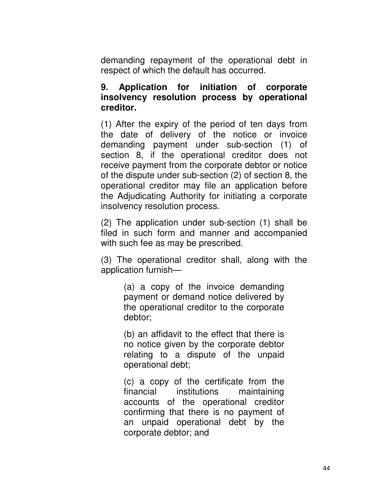demanding repayment of the operational debt in respect of which the default has occurred.

## **9. Application for initiation of corporate insolvency resolution process by operational creditor.**

(1) After the expiry of the period of ten days from the date of delivery of the notice or invoice demanding payment under sub-section (1) of section 8, if the operational creditor does not receive payment from the corporate debtor or notice of the dispute under sub-section (2) of section 8, the operational creditor may file an application before the Adjudicating Authority for initiating a corporate insolvency resolution process.

(2) The application under sub-section (1) shall be filed in such form and manner and accompanied with such fee as may be prescribed.

(3) The operational creditor shall, along with the application furnish—

> (a) a copy of the invoice demanding payment or demand notice delivered by the operational creditor to the corporate debtor;

> (b) an affidavit to the effect that there is no notice given by the corporate debtor relating to a dispute of the unpaid operational debt;

> (c) a copy of the certificate from the financial institutions maintaining accounts of the operational creditor confirming that there is no payment of an unpaid operational debt by the corporate debtor; and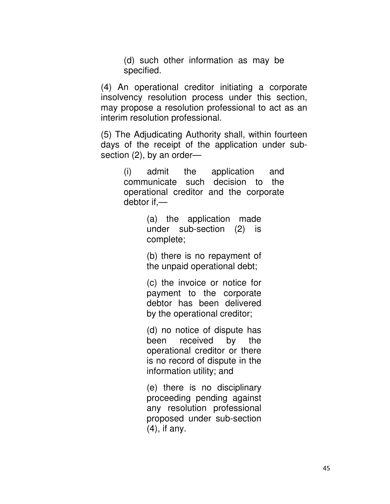(d) such other information as may be specified.

(4) An operational creditor initiating a corporate insolvency resolution process under this section, may propose a resolution professional to act as an interim resolution professional.

(5) The Adjudicating Authority shall, within fourteen days of the receipt of the application under subsection (2), by an order—

> (i) admit the application and communicate such decision to the operational creditor and the corporate debtor if,—

> > (a) the application made under sub-section (2) is complete;

> > (b) there is no repayment of the unpaid operational debt;

> > (c) the invoice or notice for payment to the corporate debtor has been delivered by the operational creditor;

> > (d) no notice of dispute has been received by the operational creditor or there is no record of dispute in the information utility; and

> > (e) there is no disciplinary proceeding pending against any resolution professional proposed under sub-section (4), if any.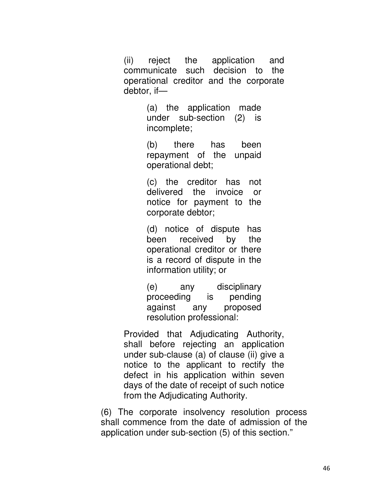(ii) reject the application and communicate such decision to the operational creditor and the corporate debtor, if—

> (a) the application made under sub-section (2) is incomplete;

> (b) there has been repayment of the unpaid operational debt;

> (c) the creditor has not delivered the invoice or notice for payment to the corporate debtor;

> (d) notice of dispute has been received by the operational creditor or there is a record of dispute in the information utility; or

> (e) any disciplinary proceeding is pending against any proposed resolution professional:

Provided that Adjudicating Authority, shall before rejecting an application under sub-clause (a) of clause (ii) give a notice to the applicant to rectify the defect in his application within seven days of the date of receipt of such notice from the Adjudicating Authority.

(6) The corporate insolvency resolution process shall commence from the date of admission of the application under sub-section (5) of this section."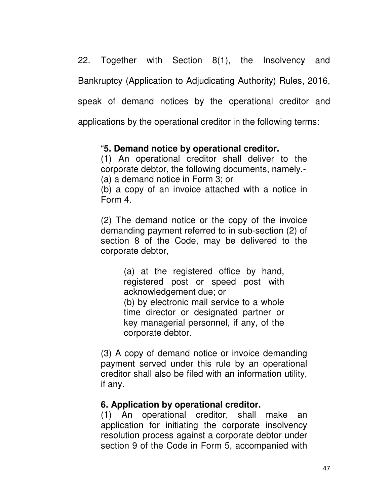22. Together with Section 8(1), the Insolvency and Bankruptcy (Application to Adjudicating Authority) Rules, 2016, speak of demand notices by the operational creditor and applications by the operational creditor in the following terms:

## "**5. Demand notice by operational creditor.**

(1) An operational creditor shall deliver to the corporate debtor, the following documents, namely.-

(a) a demand notice in Form 3; or

(b) a copy of an invoice attached with a notice in Form 4.

(2) The demand notice or the copy of the invoice demanding payment referred to in sub-section (2) of section 8 of the Code, may be delivered to the corporate debtor,

> (a) at the registered office by hand, registered post or speed post with acknowledgement due; or

> (b) by electronic mail service to a whole time director or designated partner or key managerial personnel, if any, of the corporate debtor.

(3) A copy of demand notice or invoice demanding payment served under this rule by an operational creditor shall also be filed with an information utility, if any.

# **6. Application by operational creditor.**

(1) An operational creditor, shall make an application for initiating the corporate insolvency resolution process against a corporate debtor under section 9 of the Code in Form 5, accompanied with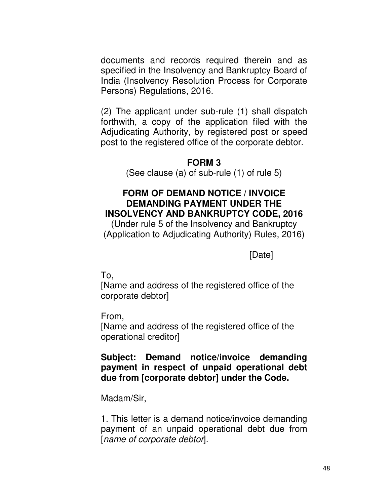documents and records required therein and as specified in the Insolvency and Bankruptcy Board of India (Insolvency Resolution Process for Corporate Persons) Regulations, 2016.

(2) The applicant under sub-rule (1) shall dispatch forthwith, a copy of the application filed with the Adjudicating Authority, by registered post or speed post to the registered office of the corporate debtor.

### **FORM 3**

(See clause (a) of sub-rule (1) of rule 5)

## **FORM OF DEMAND NOTICE / INVOICE DEMANDING PAYMENT UNDER THE INSOLVENCY AND BANKRUPTCY CODE, 2016**

(Under rule 5 of the Insolvency and Bankruptcy (Application to Adjudicating Authority) Rules, 2016)

[Date]

To,

[Name and address of the registered office of the corporate debtor]

From,

[Name and address of the registered office of the operational creditor]

**Subject: Demand notice/invoice demanding payment in respect of unpaid operational debt due from [corporate debtor] under the Code.**

Madam/Sir,

1. This letter is a demand notice/invoice demanding payment of an unpaid operational debt due from [*name of corporate debtor*].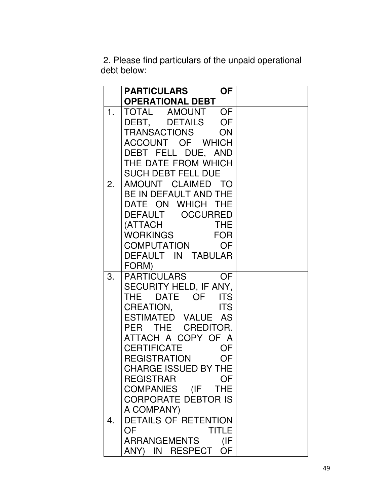2. Please find particulars of the unpaid operational debt below:

|    | <b>PARTICULARS</b><br><b>OF</b>               |  |
|----|-----------------------------------------------|--|
|    | <b>OPERATIONAL DEBT</b>                       |  |
| 1. | TOTAL AMOUNT OF                               |  |
|    | DEBT, DETAILS OF                              |  |
|    | TRANSACTIONS ON                               |  |
|    | ACCOUNT OF WHICH                              |  |
|    | DEBT FELL DUE, AND                            |  |
|    | THE DATE FROM WHICH                           |  |
|    | <b>SUCH DEBT FELL DUE</b>                     |  |
| 2. | AMOUNT CLAIMED TO                             |  |
|    | BE IN DEFAULT AND THE                         |  |
|    | DATE ON WHICH THE                             |  |
|    | DEFAULT OCCURRED                              |  |
|    | THE<br>FOR<br>(ATTACH                         |  |
|    | WORKINGS                                      |  |
|    | <b>COMPUTATION</b><br>OF                      |  |
|    | DEFAULT IN TABULAR                            |  |
|    | FORM)                                         |  |
| 3. | <b>OF</b><br><b>PARTICULARS</b>               |  |
|    | SECURITY HELD, IF ANY,                        |  |
|    | DATE OF ITS<br>THE<br><b>ITS</b><br>CREATION, |  |
|    | ESTIMATED VALUE AS                            |  |
|    | PER THE CREDITOR.                             |  |
|    | ATTACH A COPY OF A                            |  |
|    | <b>OF</b><br>CERTIFICATE                      |  |
|    | REGISTRATION<br><b>OF</b>                     |  |
|    | CHARGE ISSUED BY THE                          |  |
|    | REGISTRAR<br>OF                               |  |
|    | COMPANIES (IF THE                             |  |
|    | <b>CORPORATE DEBTOR IS</b>                    |  |
|    | A COMPANY)                                    |  |
| 4. | DETAILS OF RETENTION                          |  |
|    | OF<br><b>TITLE</b>                            |  |
|    | (IF)<br>ARRANGEMENTS                          |  |
|    | ANY) IN RESPECT OF                            |  |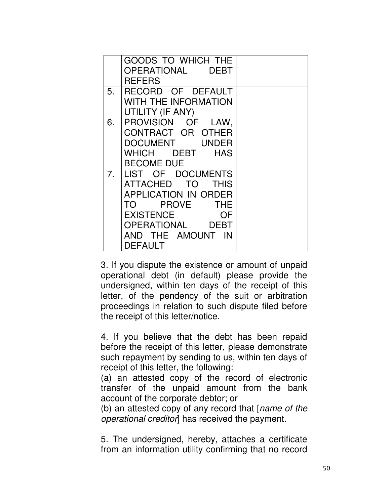|                | GOODS TO WHICH THE<br>OPERATIONAL DEBT<br><b>REFERS</b>                                                                                                                        |  |
|----------------|--------------------------------------------------------------------------------------------------------------------------------------------------------------------------------|--|
| 5.             | RECORD OF DEFAULT<br><b>WITH THE INFORMATION</b><br>UTILITY (IF ANY)                                                                                                           |  |
| 6.             | PROVISION OF LAW.<br>CONTRACT OR OTHER<br>DOCUMENT<br><b>UNDER</b><br>DEBT HAS<br>WHICH<br><b>BECOME DUE</b>                                                                   |  |
| 7 <sub>1</sub> | LIST OF DOCUMENTS<br>TO T<br>ATTACHED<br><b>THIS</b><br>APPLICATION IN ORDER<br>PROVE THE<br>TO.<br><b>EXISTENCE</b><br>OF<br>OPERATIONAL DEBT<br>AND THE AMOUNT IN<br>DEFAULT |  |

3. If you dispute the existence or amount of unpaid operational debt (in default) please provide the undersigned, within ten days of the receipt of this letter, of the pendency of the suit or arbitration proceedings in relation to such dispute filed before the receipt of this letter/notice.

4. If you believe that the debt has been repaid before the receipt of this letter, please demonstrate such repayment by sending to us, within ten days of receipt of this letter, the following:

(a) an attested copy of the record of electronic transfer of the unpaid amount from the bank account of the corporate debtor; or

(b) an attested copy of any record that [*name of the operational creditor*] has received the payment.

5. The undersigned, hereby, attaches a certificate from an information utility confirming that no record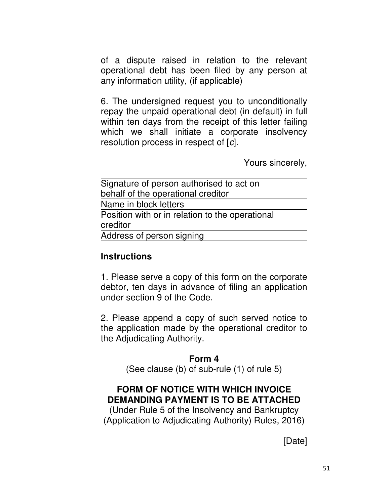of a dispute raised in relation to the relevant operational debt has been filed by any person at any information utility, (if applicable)

6. The undersigned request you to unconditionally repay the unpaid operational debt (in default) in full within ten days from the receipt of this letter failing which we shall initiate a corporate insolvency resolution process in respect of [*c*].

Yours sincerely,

| Signature of person authorised to act on        |
|-------------------------------------------------|
| behalf of the operational creditor              |
| Name in block letters                           |
| Position with or in relation to the operational |
| creditor                                        |
| Address of person signing                       |

## **Instructions**

1. Please serve a copy of this form on the corporate debtor, ten days in advance of filing an application under section 9 of the Code.

2. Please append a copy of such served notice to the application made by the operational creditor to the Adjudicating Authority.

#### **Form 4**

(See clause (b) of sub-rule (1) of rule 5)

# **FORM OF NOTICE WITH WHICH INVOICE DEMANDING PAYMENT IS TO BE ATTACHED**

(Under Rule 5 of the Insolvency and Bankruptcy (Application to Adjudicating Authority) Rules, 2016)

[Date]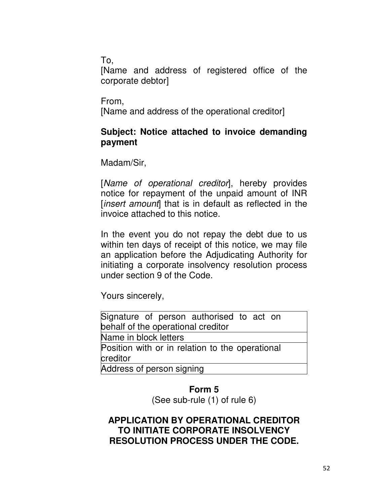To,

[Name and address of registered office of the corporate debtor]

From,

[Name and address of the operational creditor]

## **Subject: Notice attached to invoice demanding payment**

Madam/Sir,

[*Name of operational creditor*], hereby provides notice for repayment of the unpaid amount of INR [*insert amount*] that is in default as reflected in the invoice attached to this notice.

In the event you do not repay the debt due to us within ten days of receipt of this notice, we may file an application before the Adjudicating Authority for initiating a corporate insolvency resolution process under section 9 of the Code.

Yours sincerely,

| Signature of person authorised to act on        |
|-------------------------------------------------|
| behalf of the operational creditor              |
| Name in block letters                           |
| Position with or in relation to the operational |
| creditor                                        |
| Address of person signing                       |

#### **Form 5**

(See sub-rule (1) of rule 6)

## **APPLICATION BY OPERATIONAL CREDITOR TO INITIATE CORPORATE INSOLVENCY RESOLUTION PROCESS UNDER THE CODE.**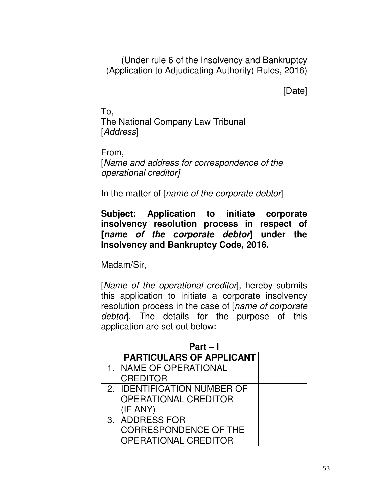(Under rule 6 of the Insolvency and Bankruptcy (Application to Adjudicating Authority) Rules, 2016)

[Date]

To, The National Company Law Tribunal [*Address*]

From, [*Name and address for correspondence of the operational creditor]* 

In the matter of [*name of the corporate debtor*]

**Subject: Application to initiate corporate insolvency resolution process in respect of [name of the corporate debtor] under the Insolvency and Bankruptcy Code, 2016.**

Madam/Sir,

[*Name of the operational creditor*], hereby submits this application to initiate a corporate insolvency resolution process in the case of [*name of corporate debtor*]. The details for the purpose of this application are set out below:

|                | Part – I                        |  |
|----------------|---------------------------------|--|
|                | <b>PARTICULARS OF APPLICANT</b> |  |
|                | <b>NAME OF OPERATIONAL</b>      |  |
|                | CREDITOR                        |  |
|                | 2. IDENTIFICATION NUMBER OF     |  |
|                | OPERATIONAL CREDITOR            |  |
|                | <b>(IF ANY)</b>                 |  |
| $\mathbf{3}$ . | <b>ADDRESS FOR</b>              |  |
|                | <b>CORRESPONDENCE OF THE</b>    |  |
|                | OPERATIONAL CREDITOR            |  |

**Part**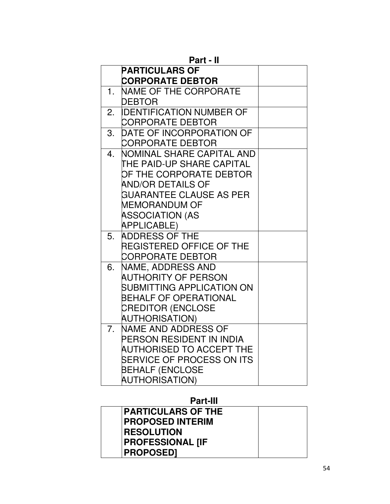**Part - II** 

|                | <b>PARTICULARS OF</b>            |  |
|----------------|----------------------------------|--|
|                | <b>CORPORATE DEBTOR</b>          |  |
|                | 1. NAME OF THE CORPORATE         |  |
|                | <b>DEBTOR</b>                    |  |
| 2.             | <b>IDENTIFICATION NUMBER OF</b>  |  |
|                | <b>CORPORATE DEBTOR</b>          |  |
| 3.             | DATE OF INCORPORATION OF         |  |
|                | <b>CORPORATE DEBTOR</b>          |  |
| $4_{\cdot}$    | NOMINAL SHARE CAPITAL AND        |  |
|                | THE PAID-UP SHARE CAPITAL        |  |
|                | OF THE CORPORATE DEBTOR          |  |
|                | AND/OR DETAILS OF                |  |
|                | GUARANTEE CLAUSE AS PER          |  |
|                | MEMORANDUM OF                    |  |
|                | <b>ASSOCIATION (AS</b>           |  |
|                | <b>APPLICABLE)</b>               |  |
|                | 5. ADDRESS OF THE                |  |
|                | REGISTERED OFFICE OF THE         |  |
|                | <b>CORPORATE DEBTOR</b>          |  |
| 6.             | NAME, ADDRESS AND                |  |
|                | AUTHORITY OF PERSON              |  |
|                | SUBMITTING APPLICATION ON        |  |
|                | BEHALF OF OPERATIONAL            |  |
|                | <b>CREDITOR (ENCLOSE</b>         |  |
|                | <b>AUTHORISATION)</b>            |  |
| 7 <sub>1</sub> | NAME AND ADDRESS OF              |  |
|                | PERSON RESIDENT IN INDIA         |  |
|                | AUTHORISED TO ACCEPT THE         |  |
|                | <b>SERVICE OF PROCESS ON ITS</b> |  |
|                | <b>BEHALF (ENCLOSE</b>           |  |
|                | <b>AUTHORISATION)</b>            |  |

## **Part-III**

| <b>PARTICULARS OF THE</b> |  |
|---------------------------|--|
| <b>PROPOSED INTERIM</b>   |  |
| <b>IRESOLUTION</b>        |  |
| <b>PROFESSIONAL [IF</b>   |  |
| <b>PROPOSEDI</b>          |  |
|                           |  |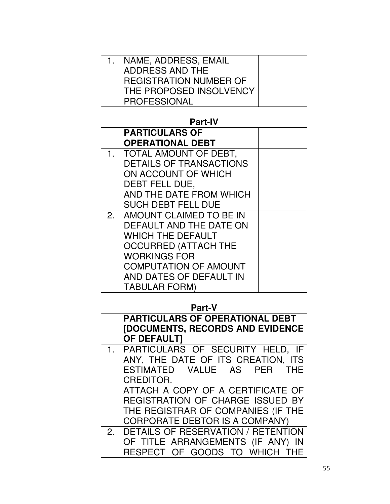| 1. NAME, ADDRESS, EMAIL       |  |
|-------------------------------|--|
| ADDRESS AND THE               |  |
| <b>REGISTRATION NUMBER OF</b> |  |
| THE PROPOSED INSOLVENCY       |  |
| <b>PROFESSIONAL</b>           |  |

|                | <b>Part-IV</b>                 |  |
|----------------|--------------------------------|--|
|                | <b>PARTICULARS OF</b>          |  |
|                | <b>OPERATIONAL DEBT</b>        |  |
| 1.             | TOTAL AMOUNT OF DEBT,          |  |
|                | <b>DETAILS OF TRANSACTIONS</b> |  |
|                | ON ACCOUNT OF WHICH            |  |
|                | DEBT FELL DUE,                 |  |
|                | AND THE DATE FROM WHICH        |  |
|                | <b>SUCH DEBT FELL DUE</b>      |  |
| 2 <sub>1</sub> | IAMOUNT CLAIMED TO BE IN       |  |
|                | DEFAULT AND THE DATE ON        |  |
|                | <b>WHICH THE DEFAULT</b>       |  |
|                | <b>OCCURRED (ATTACH THE</b>    |  |
|                | <b>WORKINGS FOR</b>            |  |
|                | <b>COMPUTATION OF AMOUNT</b>   |  |
|                | AND DATES OF DEFAULT IN        |  |
|                | <b>TABULAR FORM)</b>           |  |

**Part-V** 

|                | <b>PARTICULARS OF OPERATIONAL DEBT</b>     |
|----------------|--------------------------------------------|
|                | <b>[DOCUMENTS, RECORDS AND EVIDENCE</b>    |
|                | <b>OF DEFAULTI</b>                         |
|                | 1.  PARTICULARS OF SECURITY HELD, IF       |
|                | ANY, THE DATE OF ITS CREATION, ITS         |
|                | ESTIMATED VALUE AS PER THE                 |
|                | CREDITOR.                                  |
|                | ATTACH A COPY OF A CERTIFICATE OF          |
|                | <b>REGISTRATION OF CHARGE ISSUED BY</b>    |
|                | THE REGISTRAR OF COMPANIES (IF THE         |
|                | <b>CORPORATE DEBTOR IS A COMPANY)</b>      |
| 2 <sub>1</sub> | <b>IDETAILS OF RESERVATION / RETENTION</b> |
|                | OF TITLE ARRANGEMENTS (IF ANY) IN          |
|                | RESPECT OF GOODS TO WHICH THE              |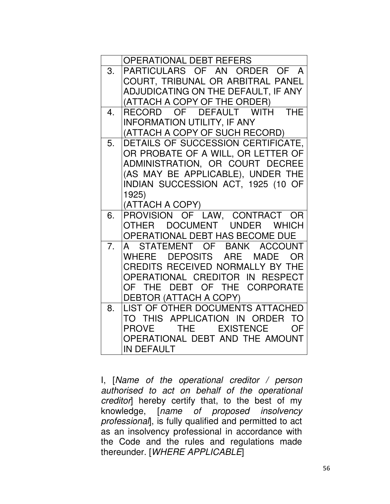|                  | OPERATIONAL DEBT REFERS                                   |
|------------------|-----------------------------------------------------------|
| 3 <sub>1</sub>   | PARTICULARS OF AN ORDER OF A                              |
|                  | COURT, TRIBUNAL OR ARBITRAL PANEL                         |
|                  | ADJUDICATING ON THE DEFAULT, IF ANY                       |
|                  | (ATTACH A COPY OF THE ORDER)                              |
| $\overline{4}$ . | RECORD OF DEFAULT WITH THE                                |
|                  | <b>INFORMATION UTILITY, IF ANY</b>                        |
|                  | (ATTACH A COPY OF SUCH RECORD)                            |
| 5 <sub>1</sub>   | DETAILS OF SUCCESSION CERTIFICATE,                        |
|                  | OR PROBATE OF A WILL, OR LETTER OF                        |
|                  | ADMINISTRATION, OR COURT DECREE                           |
|                  | (AS MAY BE APPLICABLE), UNDER THE                         |
|                  | INDIAN SUCCESSION ACT, 1925 (10 OF                        |
|                  | 1925)                                                     |
|                  | (ATTACH A COPY)                                           |
| 6.               | PROVISION OF LAW, CONTRACT OR                             |
|                  | DOCUMENT UNDER WHICH<br>OTHER                             |
| 7 <sub>1</sub>   | OPERATIONAL DEBT HAS BECOME DUE                           |
|                  | A STATEMENT OF BANK ACCOUNT<br>WHERE DEPOSITS ARE MADE OR |
|                  | CREDITS RECEIVED NORMALLY BY THE                          |
|                  | OPERATIONAL CREDITOR IN RESPECT                           |
|                  | OF THE DEBT OF THE CORPORATE                              |
|                  | DEBTOR (ATTACH A COPY)                                    |
| 8.               | LIST OF OTHER DOCUMENTS ATTACHED                          |
|                  | TO THIS APPLICATION IN ORDER TO                           |
|                  | PROVE THE EXISTENCE OF                                    |
|                  | OPERATIONAL DEBT AND THE AMOUNT                           |
|                  | <b>IN DEFAULT</b>                                         |
|                  |                                                           |

I, [*Name of the operational creditor / person authorised to act on behalf of the operational creditor*] hereby certify that, to the best of my knowledge, [*name of proposed insolvency professional*], is fully qualified and permitted to act as an insolvency professional in accordance with the Code and the rules and regulations made thereunder. [*WHERE APPLICABLE*]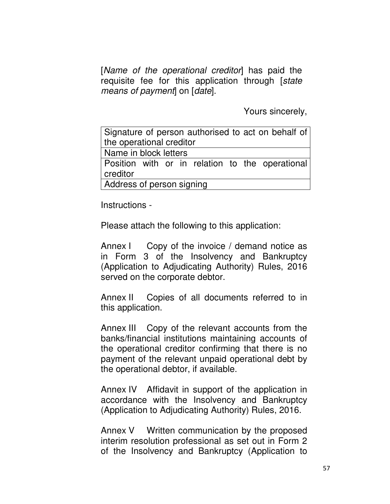[*Name of the operational creditor*] has paid the requisite fee for this application through [*state means of payment*] on [*date*].

Yours sincerely,

| Signature of person authorised to act on behalf of |  |  |
|----------------------------------------------------|--|--|
| the operational creditor                           |  |  |
| Name in block letters                              |  |  |
| Position with or in relation to the operational    |  |  |
| creditor                                           |  |  |
| Address of person signing                          |  |  |

Instructions -

Please attach the following to this application:

Annex I Copy of the invoice / demand notice as in Form 3 of the Insolvency and Bankruptcy (Application to Adjudicating Authority) Rules, 2016 served on the corporate debtor.

Annex II Copies of all documents referred to in this application.

Annex III Copy of the relevant accounts from the banks/financial institutions maintaining accounts of the operational creditor confirming that there is no payment of the relevant unpaid operational debt by the operational debtor, if available.

Annex IV Affidavit in support of the application in accordance with the Insolvency and Bankruptcy (Application to Adjudicating Authority) Rules, 2016.

Annex V Written communication by the proposed interim resolution professional as set out in Form 2 of the Insolvency and Bankruptcy (Application to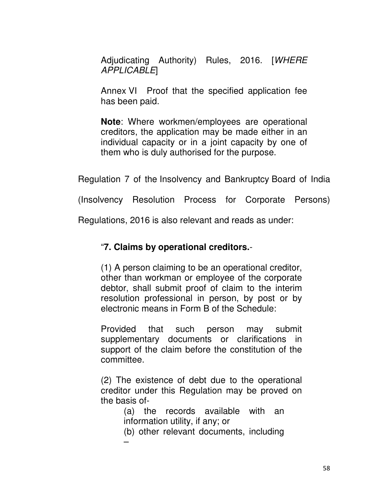Adjudicating Authority) Rules, 2016. [*WHERE APPLICABLE*]

Annex VI Proof that the specified application fee has been paid.

**Note**: Where workmen/employees are operational creditors, the application may be made either in an individual capacity or in a joint capacity by one of them who is duly authorised for the purpose.

Regulation 7 of the Insolvency and Bankruptcy Board of India

(Insolvency Resolution Process for Corporate Persons)

Regulations, 2016 is also relevant and reads as under:

## "**7. Claims by operational creditors.**-

(1) A person claiming to be an operational creditor, other than workman or employee of the corporate debtor, shall submit proof of claim to the interim resolution professional in person, by post or by electronic means in Form B of the Schedule:

Provided that such person may submit supplementary documents or clarifications in support of the claim before the constitution of the committee.

(2) The existence of debt due to the operational creditor under this Regulation may be proved on the basis of-

> (a) the records available with an information utility, if any; or

(b) other relevant documents, including –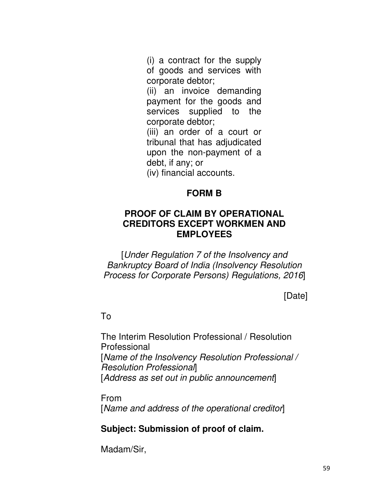(i) a contract for the supply of goods and services with corporate debtor;

(ii) an invoice demanding payment for the goods and services supplied to the corporate debtor;

(iii) an order of a court or tribunal that has adjudicated upon the non-payment of a debt, if any; or

(iv) financial accounts.

## **FORM B**

## **PROOF OF CLAIM BY OPERATIONAL CREDITORS EXCEPT WORKMEN AND EMPLOYEES**

[*Under Regulation 7 of the Insolvency and Bankruptcy Board of India (Insolvency Resolution Process for Corporate Persons) Regulations, 2016*]

[Date]

To

The Interim Resolution Professional / Resolution Professional [*Name of the Insolvency Resolution Professional / Resolution Professional*] [*Address as set out in public announcement*]

From [*Name and address of the operational creditor*]

# **Subject: Submission of proof of claim.**

Madam/Sir,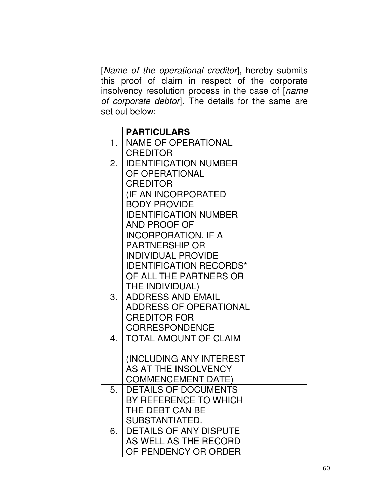[*Name of the operational creditor*], hereby submits this proof of claim in respect of the corporate insolvency resolution process in the case of [*name of corporate debtor*]. The details for the same are set out below:

|                | <b>PARTICULARS</b>                          |  |
|----------------|---------------------------------------------|--|
| 1 <sub>1</sub> | <b>NAME OF OPERATIONAL</b>                  |  |
|                | <b>CREDITOR</b>                             |  |
| 2.             | <b>IDENTIFICATION NUMBER</b>                |  |
|                | OF OPERATIONAL                              |  |
|                | <b>CREDITOR</b>                             |  |
|                | <b>(IF AN INCORPORATED</b>                  |  |
|                | <b>BODY PROVIDE</b>                         |  |
|                | <b>IDENTIFICATION NUMBER</b>                |  |
|                | AND PROOF OF                                |  |
|                | <b>INCORPORATION. IF A</b>                  |  |
|                | <b>PARTNERSHIP OR</b>                       |  |
|                | <b>INDIVIDUAL PROVIDE</b>                   |  |
|                | <b>IDENTIFICATION RECORDS*</b>              |  |
|                | OF ALL THE PARTNERS OR                      |  |
|                | THE INDIVIDUAL)<br><b>ADDRESS AND EMAIL</b> |  |
| 3.             | ADDRESS OF OPERATIONAL                      |  |
|                | <b>CREDITOR FOR</b>                         |  |
|                | <b>CORRESPONDENCE</b>                       |  |
| 4.             | <b>TOTAL AMOUNT OF CLAIM</b>                |  |
|                |                                             |  |
|                | <b>(INCLUDING ANY INTEREST)</b>             |  |
|                | AS AT THE INSOLVENCY                        |  |
|                | <b>COMMENCEMENT DATE)</b>                   |  |
| 5.             | DETAILS OF DOCUMENTS                        |  |
|                | BY REFERENCE TO WHICH                       |  |
|                | THE DEBT CAN BE                             |  |
|                | SUBSTANTIATED.                              |  |
| 6.             | <b>DETAILS OF ANY DISPUTE</b>               |  |
|                | AS WELL AS THE RECORD                       |  |
|                | OF PENDENCY OR ORDER                        |  |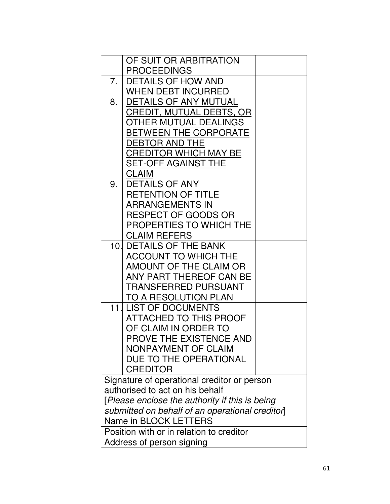|                                                | OF SUIT OR ARBITRATION<br><b>PROCEEDINGS</b>         |  |  |  |
|------------------------------------------------|------------------------------------------------------|--|--|--|
| 7.                                             | <b>DETAILS OF HOW AND</b>                            |  |  |  |
|                                                | <b>WHEN DEBT INCURRED</b>                            |  |  |  |
| 8.                                             | DETAILS OF ANY MUTUAL                                |  |  |  |
|                                                | CREDIT, MUTUAL DEBTS, OR                             |  |  |  |
|                                                | OTHER MUTUAL DEALINGS                                |  |  |  |
|                                                | <b>BETWEEN THE CORPORATE</b>                         |  |  |  |
|                                                | <b>DEBTOR AND THE</b>                                |  |  |  |
|                                                | CREDITOR WHICH MAY BE                                |  |  |  |
|                                                | <b>SET-OFF AGAINST THE</b>                           |  |  |  |
|                                                | <b>CLAIM</b>                                         |  |  |  |
| 9.                                             | <b>DETAILS OF ANY</b>                                |  |  |  |
|                                                | <b>RETENTION OF TITLE</b>                            |  |  |  |
|                                                | <b>ARRANGEMENTS IN</b>                               |  |  |  |
|                                                | RESPECT OF GOODS OR                                  |  |  |  |
|                                                | <b>PROPERTIES TO WHICH THE</b>                       |  |  |  |
|                                                | <b>CLAIM REFERS</b>                                  |  |  |  |
|                                                | 10. DETAILS OF THE BANK                              |  |  |  |
|                                                | <b>ACCOUNT TO WHICH THE</b>                          |  |  |  |
|                                                | AMOUNT OF THE CLAIM OR                               |  |  |  |
|                                                | ANY PART THEREOF CAN BE                              |  |  |  |
|                                                | TRANSFERRED PURSUANT                                 |  |  |  |
|                                                | <b>TO A RESOLUTION PLAN</b><br>11. LIST OF DOCUMENTS |  |  |  |
|                                                | ATTACHED TO THIS PROOF                               |  |  |  |
|                                                | OF CLAIM IN ORDER TO                                 |  |  |  |
|                                                | PROVE THE EXISTENCE AND                              |  |  |  |
|                                                | NONPAYMENT OF CLAIM                                  |  |  |  |
|                                                | DUE TO THE OPERATIONAL                               |  |  |  |
|                                                | CREDITOR                                             |  |  |  |
|                                                | Signature of operational creditor or person          |  |  |  |
| authorised to act on his behalf                |                                                      |  |  |  |
| [Please enclose the authority if this is being |                                                      |  |  |  |
| submitted on behalf of an operational creditor |                                                      |  |  |  |
| Name in BLOCK LETTERS                          |                                                      |  |  |  |
| Position with or in relation to creditor       |                                                      |  |  |  |
| Address of person signing                      |                                                      |  |  |  |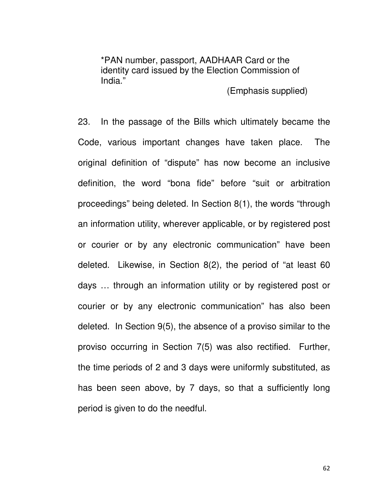\*PAN number, passport, AADHAAR Card or the identity card issued by the Election Commission of India."

(Emphasis supplied)

23. In the passage of the Bills which ultimately became the Code, various important changes have taken place. The original definition of "dispute" has now become an inclusive definition, the word "bona fide" before "suit or arbitration proceedings" being deleted. In Section 8(1), the words "through an information utility, wherever applicable, or by registered post or courier or by any electronic communication" have been deleted. Likewise, in Section 8(2), the period of "at least 60 days … through an information utility or by registered post or courier or by any electronic communication" has also been deleted. In Section 9(5), the absence of a proviso similar to the proviso occurring in Section 7(5) was also rectified. Further, the time periods of 2 and 3 days were uniformly substituted, as has been seen above, by 7 days, so that a sufficiently long period is given to do the needful.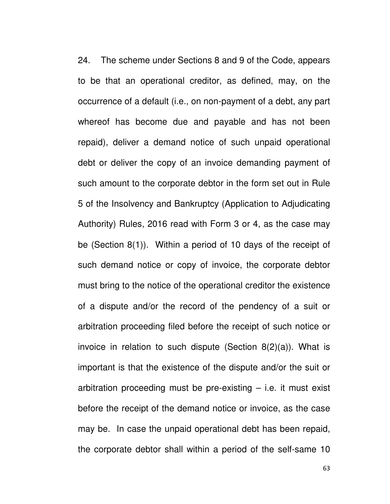24. The scheme under Sections 8 and 9 of the Code, appears to be that an operational creditor, as defined, may, on the occurrence of a default (i.e., on non-payment of a debt, any part whereof has become due and payable and has not been repaid), deliver a demand notice of such unpaid operational debt or deliver the copy of an invoice demanding payment of such amount to the corporate debtor in the form set out in Rule 5 of the Insolvency and Bankruptcy (Application to Adjudicating Authority) Rules, 2016 read with Form 3 or 4, as the case may be (Section 8(1)). Within a period of 10 days of the receipt of such demand notice or copy of invoice, the corporate debtor must bring to the notice of the operational creditor the existence of a dispute and/or the record of the pendency of a suit or arbitration proceeding filed before the receipt of such notice or invoice in relation to such dispute (Section 8(2)(a)). What is important is that the existence of the dispute and/or the suit or arbitration proceeding must be pre-existing  $-$  i.e. it must exist before the receipt of the demand notice or invoice, as the case may be. In case the unpaid operational debt has been repaid, the corporate debtor shall within a period of the self-same 10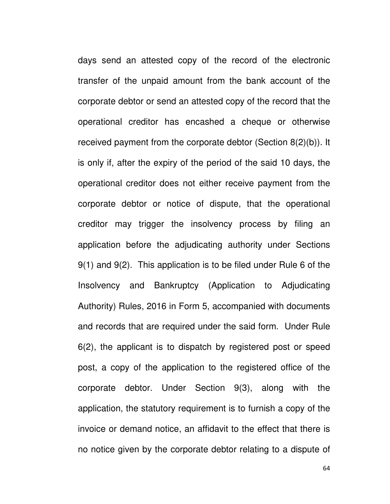days send an attested copy of the record of the electronic transfer of the unpaid amount from the bank account of the corporate debtor or send an attested copy of the record that the operational creditor has encashed a cheque or otherwise received payment from the corporate debtor (Section 8(2)(b)). It is only if, after the expiry of the period of the said 10 days, the operational creditor does not either receive payment from the corporate debtor or notice of dispute, that the operational creditor may trigger the insolvency process by filing an application before the adjudicating authority under Sections 9(1) and 9(2). This application is to be filed under Rule 6 of the Insolvency and Bankruptcy (Application to Adjudicating Authority) Rules, 2016 in Form 5, accompanied with documents and records that are required under the said form. Under Rule 6(2), the applicant is to dispatch by registered post or speed post, a copy of the application to the registered office of the corporate debtor. Under Section 9(3), along with the application, the statutory requirement is to furnish a copy of the invoice or demand notice, an affidavit to the effect that there is no notice given by the corporate debtor relating to a dispute of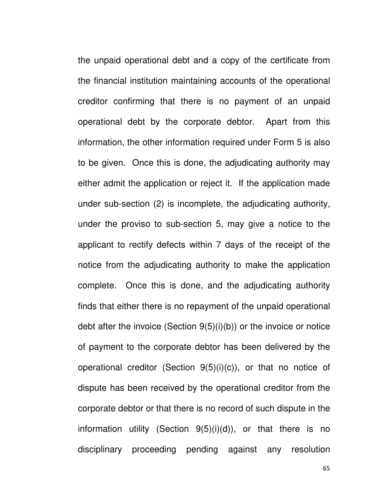the unpaid operational debt and a copy of the certificate from the financial institution maintaining accounts of the operational creditor confirming that there is no payment of an unpaid operational debt by the corporate debtor. Apart from this information, the other information required under Form 5 is also to be given. Once this is done, the adjudicating authority may either admit the application or reject it. If the application made under sub-section (2) is incomplete, the adjudicating authority, under the proviso to sub-section 5, may give a notice to the applicant to rectify defects within 7 days of the receipt of the notice from the adjudicating authority to make the application complete. Once this is done, and the adjudicating authority finds that either there is no repayment of the unpaid operational debt after the invoice (Section 9(5)(i)(b)) or the invoice or notice of payment to the corporate debtor has been delivered by the operational creditor (Section 9(5)(i)(c)), or that no notice of dispute has been received by the operational creditor from the corporate debtor or that there is no record of such dispute in the information utility (Section 9(5)(i)(d)), or that there is no disciplinary proceeding pending against any resolution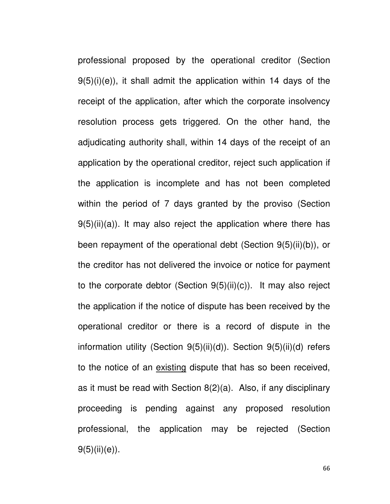professional proposed by the operational creditor (Section  $9(5)(i)(e)$ , it shall admit the application within 14 days of the receipt of the application, after which the corporate insolvency resolution process gets triggered. On the other hand, the adjudicating authority shall, within 14 days of the receipt of an application by the operational creditor, reject such application if the application is incomplete and has not been completed within the period of 7 days granted by the proviso (Section  $9(5)$ (ii)(a)). It may also reject the application where there has been repayment of the operational debt (Section 9(5)(ii)(b)), or the creditor has not delivered the invoice or notice for payment to the corporate debtor (Section  $9(5)(ii)(c)$ ). It may also reject the application if the notice of dispute has been received by the operational creditor or there is a record of dispute in the information utility (Section 9(5)(ii)(d)). Section 9(5)(ii)(d) refers to the notice of an existing dispute that has so been received, as it must be read with Section 8(2)(a). Also, if any disciplinary proceeding is pending against any proposed resolution professional, the application may be rejected (Section  $9(5)(ii)(e)$ ).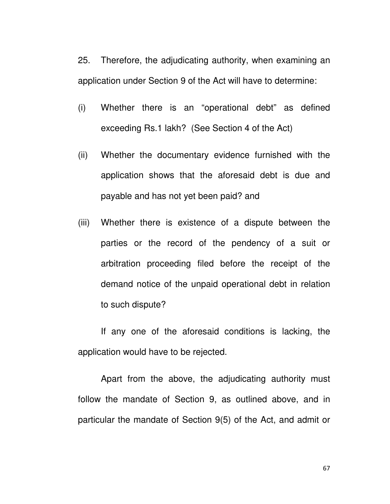25. Therefore, the adjudicating authority, when examining an application under Section 9 of the Act will have to determine:

- (i) Whether there is an "operational debt" as defined exceeding Rs.1 lakh? (See Section 4 of the Act)
- (ii) Whether the documentary evidence furnished with the application shows that the aforesaid debt is due and payable and has not yet been paid? and
- (iii) Whether there is existence of a dispute between the parties or the record of the pendency of a suit or arbitration proceeding filed before the receipt of the demand notice of the unpaid operational debt in relation to such dispute?

 If any one of the aforesaid conditions is lacking, the application would have to be rejected.

 Apart from the above, the adjudicating authority must follow the mandate of Section 9, as outlined above, and in particular the mandate of Section 9(5) of the Act, and admit or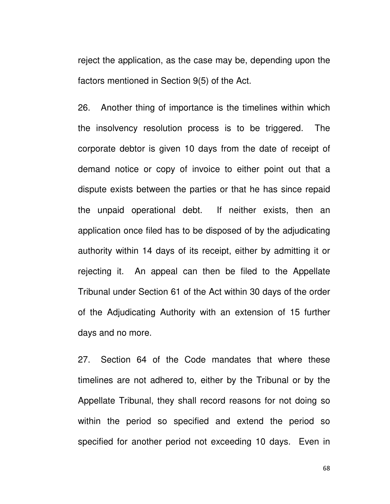reject the application, as the case may be, depending upon the factors mentioned in Section 9(5) of the Act.

26. Another thing of importance is the timelines within which the insolvency resolution process is to be triggered. The corporate debtor is given 10 days from the date of receipt of demand notice or copy of invoice to either point out that a dispute exists between the parties or that he has since repaid the unpaid operational debt. If neither exists, then an application once filed has to be disposed of by the adjudicating authority within 14 days of its receipt, either by admitting it or rejecting it. An appeal can then be filed to the Appellate Tribunal under Section 61 of the Act within 30 days of the order of the Adjudicating Authority with an extension of 15 further days and no more.

27. Section 64 of the Code mandates that where these timelines are not adhered to, either by the Tribunal or by the Appellate Tribunal, they shall record reasons for not doing so within the period so specified and extend the period so specified for another period not exceeding 10 days. Even in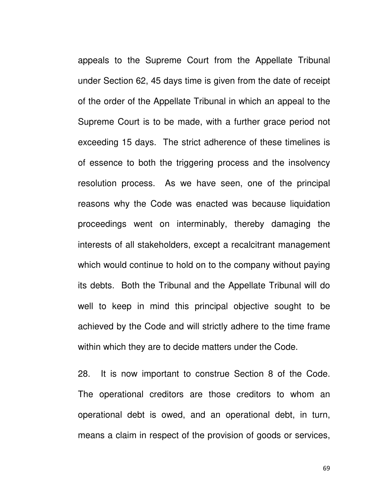appeals to the Supreme Court from the Appellate Tribunal under Section 62, 45 days time is given from the date of receipt of the order of the Appellate Tribunal in which an appeal to the Supreme Court is to be made, with a further grace period not exceeding 15 days. The strict adherence of these timelines is of essence to both the triggering process and the insolvency resolution process. As we have seen, one of the principal reasons why the Code was enacted was because liquidation proceedings went on interminably, thereby damaging the interests of all stakeholders, except a recalcitrant management which would continue to hold on to the company without paying its debts. Both the Tribunal and the Appellate Tribunal will do well to keep in mind this principal objective sought to be achieved by the Code and will strictly adhere to the time frame within which they are to decide matters under the Code.

28. It is now important to construe Section 8 of the Code. The operational creditors are those creditors to whom an operational debt is owed, and an operational debt, in turn, means a claim in respect of the provision of goods or services,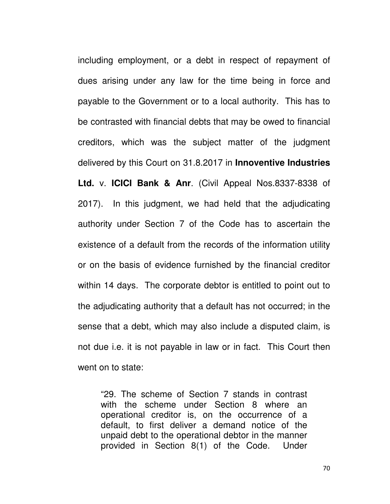including employment, or a debt in respect of repayment of dues arising under any law for the time being in force and payable to the Government or to a local authority. This has to be contrasted with financial debts that may be owed to financial creditors, which was the subject matter of the judgment delivered by this Court on 31.8.2017 in **Innoventive Industries Ltd.** v. **ICICI Bank & Anr**. (Civil Appeal Nos.8337-8338 of 2017). In this judgment, we had held that the adjudicating authority under Section 7 of the Code has to ascertain the existence of a default from the records of the information utility or on the basis of evidence furnished by the financial creditor within 14 days. The corporate debtor is entitled to point out to the adjudicating authority that a default has not occurred; in the sense that a debt, which may also include a disputed claim, is not due i.e. it is not payable in law or in fact. This Court then went on to state:

"29. The scheme of Section 7 stands in contrast with the scheme under Section 8 where an operational creditor is, on the occurrence of a default, to first deliver a demand notice of the unpaid debt to the operational debtor in the manner provided in Section 8(1) of the Code. Under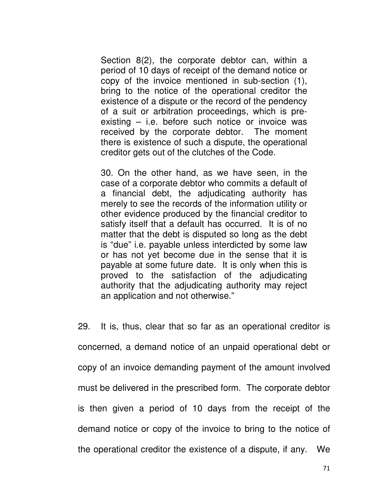Section 8(2), the corporate debtor can, within a period of 10 days of receipt of the demand notice or copy of the invoice mentioned in sub-section (1), bring to the notice of the operational creditor the existence of a dispute or the record of the pendency of a suit or arbitration proceedings, which is preexisting – i.e. before such notice or invoice was received by the corporate debtor. The moment there is existence of such a dispute, the operational creditor gets out of the clutches of the Code.

30. On the other hand, as we have seen, in the case of a corporate debtor who commits a default of a financial debt, the adjudicating authority has merely to see the records of the information utility or other evidence produced by the financial creditor to satisfy itself that a default has occurred. It is of no matter that the debt is disputed so long as the debt is "due" i.e. payable unless interdicted by some law or has not yet become due in the sense that it is payable at some future date. It is only when this is proved to the satisfaction of the adjudicating authority that the adjudicating authority may reject an application and not otherwise."

29. It is, thus, clear that so far as an operational creditor is concerned, a demand notice of an unpaid operational debt or copy of an invoice demanding payment of the amount involved must be delivered in the prescribed form. The corporate debtor is then given a period of 10 days from the receipt of the demand notice or copy of the invoice to bring to the notice of the operational creditor the existence of a dispute, if any. We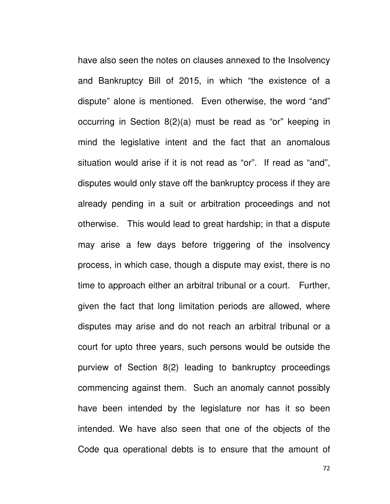have also seen the notes on clauses annexed to the Insolvency and Bankruptcy Bill of 2015, in which "the existence of a dispute" alone is mentioned. Even otherwise, the word "and" occurring in Section 8(2)(a) must be read as "or" keeping in mind the legislative intent and the fact that an anomalous situation would arise if it is not read as "or". If read as "and", disputes would only stave off the bankruptcy process if they are already pending in a suit or arbitration proceedings and not otherwise. This would lead to great hardship; in that a dispute may arise a few days before triggering of the insolvency process, in which case, though a dispute may exist, there is no time to approach either an arbitral tribunal or a court. Further, given the fact that long limitation periods are allowed, where disputes may arise and do not reach an arbitral tribunal or a court for upto three years, such persons would be outside the purview of Section 8(2) leading to bankruptcy proceedings commencing against them. Such an anomaly cannot possibly have been intended by the legislature nor has it so been intended. We have also seen that one of the objects of the Code qua operational debts is to ensure that the amount of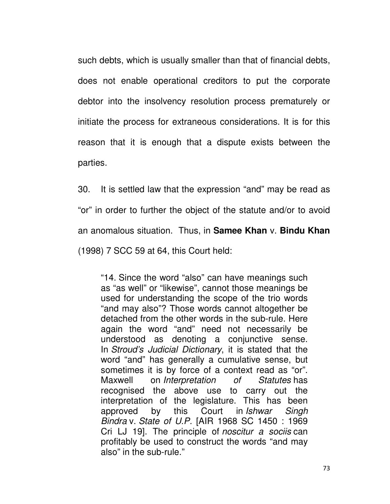such debts, which is usually smaller than that of financial debts, does not enable operational creditors to put the corporate debtor into the insolvency resolution process prematurely or initiate the process for extraneous considerations. It is for this reason that it is enough that a dispute exists between the parties.

30. It is settled law that the expression "and" may be read as "or" in order to further the object of the statute and/or to avoid an anomalous situation. Thus, in **Samee Khan** v. **Bindu Khan** (1998) 7 SCC 59 at 64, this Court held:

"14. Since the word "also" can have meanings such as "as well" or "likewise", cannot those meanings be used for understanding the scope of the trio words "and may also"? Those words cannot altogether be detached from the other words in the sub-rule. Here again the word "and" need not necessarily be understood as denoting a conjunctive sense. In *Stroud's Judicial Dictionary*, it is stated that the word "and" has generally a cumulative sense, but sometimes it is by force of a context read as "or". Maxwell on *Interpretation of Statutes* has recognised the above use to carry out the interpretation of the legislature. This has been approved by this Court in *Ishwar Singh Bindra* v. *State of U.P.* [AIR 1968 SC 1450 : 1969 Cri LJ 19]. The principle of *noscitur a sociis* can profitably be used to construct the words "and may also" in the sub-rule."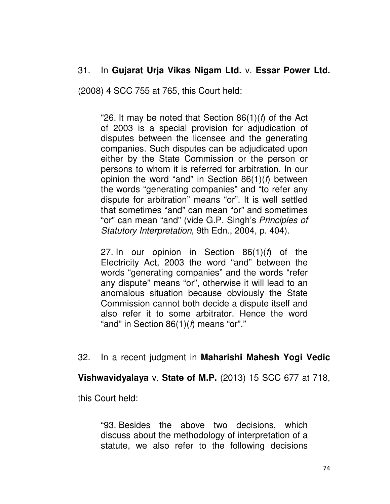## 31. In **Gujarat Urja Vikas Nigam Ltd.** v. **Essar Power Ltd.**

(2008) 4 SCC 755 at 765, this Court held:

"26. It may be noted that Section 86(1)(*f*) of the Act of 2003 is a special provision for adjudication of disputes between the licensee and the generating companies. Such disputes can be adjudicated upon either by the State Commission or the person or persons to whom it is referred for arbitration. In our opinion the word "and" in Section 86(1)(*f*) between the words "generating companies" and "to refer any dispute for arbitration" means "or". It is well settled that sometimes "and" can mean "or" and sometimes "or" can mean "and" (vide G.P. Singh's *Principles of Statutory Interpretation*, 9th Edn., 2004, p. 404).

27. In our opinion in Section 86(1)(*f*) of the Electricity Act, 2003 the word "and" between the words "generating companies" and the words "refer any dispute" means "or", otherwise it will lead to an anomalous situation because obviously the State Commission cannot both decide a dispute itself and also refer it to some arbitrator. Hence the word "and" in Section 86(1)(*f*) means "or"."

32. In a recent judgment in **Maharishi Mahesh Yogi Vedic** 

**Vishwavidyalaya** v. **State of M.P.** (2013) 15 SCC 677 at 718,

this Court held:

"93. Besides the above two decisions, which discuss about the methodology of interpretation of a statute, we also refer to the following decisions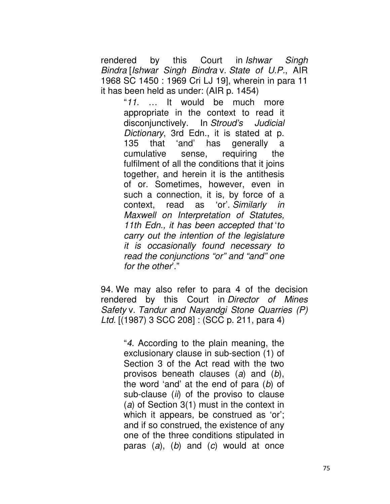rendered by this Court in *Ishwar Singh Bindra* [*Ishwar Singh Bindra* v. *State of U.P.*, AIR 1968 SC 1450 : 1969 Cri LJ 19], wherein in para 11 it has been held as under: (AIR p. 1454)

> "*11*. … It would be much more appropriate in the context to read it disconjunctively. In *Stroud's Judicial Dictionary*, 3rd Edn., it is stated at p. 135 that 'and' has generally a cumulative sense, requiring the fulfilment of all the conditions that it joins together, and herein it is the antithesis of or. Sometimes, however, even in such a connection, it is, by force of a context, read as 'or'. *Similarly in Maxwell on Interpretation of Statutes, 11th Edn., it has been accepted that* '*to carry out the intention of the legislature it is occasionally found necessary to read the conjunctions "or" and "and" one for the other*'."

94. We may also refer to para 4 of the decision rendered by this Court in *Director of Mines Safety* v. *Tandur and Nayandgi Stone Quarries (P) Ltd.* [(1987) 3 SCC 208] : (SCC p. 211, para 4)

> "*4*. According to the plain meaning, the exclusionary clause in sub-section (1) of Section 3 of the Act read with the two provisos beneath clauses (*a*) and (*b*), the word 'and' at the end of para (*b*) of sub-clause (*ii*) of the proviso to clause (*a*) of Section 3(1) must in the context in which it appears, be construed as 'or'; and if so construed, the existence of any one of the three conditions stipulated in paras (*a*), (*b*) and (*c*) would at once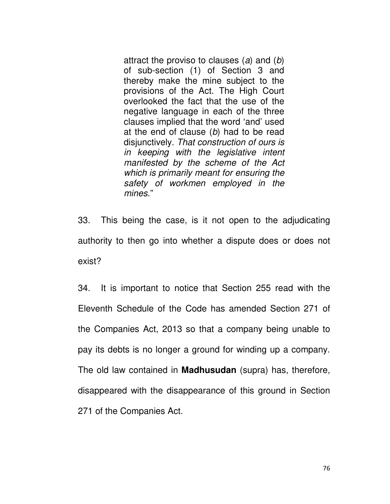attract the proviso to clauses (*a*) and (*b*) of sub-section (1) of Section 3 and thereby make the mine subject to the provisions of the Act. The High Court overlooked the fact that the use of the negative language in each of the three clauses implied that the word 'and' used at the end of clause (*b*) had to be read disjunctively. *That construction of ours is in keeping with the legislative intent manifested by the scheme of the Act which is primarily meant for ensuring the safety of workmen employed in the mines*."

33. This being the case, is it not open to the adjudicating authority to then go into whether a dispute does or does not exist?

34. It is important to notice that Section 255 read with the Eleventh Schedule of the Code has amended Section 271 of the Companies Act, 2013 so that a company being unable to pay its debts is no longer a ground for winding up a company. The old law contained in **Madhusudan** (supra) has, therefore, disappeared with the disappearance of this ground in Section 271 of the Companies Act.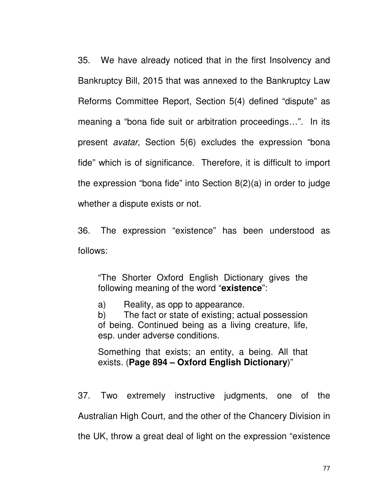35. We have already noticed that in the first Insolvency and Bankruptcy Bill, 2015 that was annexed to the Bankruptcy Law Reforms Committee Report, Section 5(4) defined "dispute" as meaning a "bona fide suit or arbitration proceedings…". In its present *avatar*, Section 5(6) excludes the expression "bona fide" which is of significance. Therefore, it is difficult to import the expression "bona fide" into Section 8(2)(a) in order to judge whether a dispute exists or not.

36. The expression "existence" has been understood as follows:

"The Shorter Oxford English Dictionary gives the following meaning of the word "**existence**":

a) Reality, as opp to appearance.

b) The fact or state of existing; actual possession of being. Continued being as a living creature, life, esp. under adverse conditions.

Something that exists; an entity, a being. All that exists. (**Page 894 – Oxford English Dictionary**)"

37. Two extremely instructive judgments, one of the Australian High Court, and the other of the Chancery Division in the UK, throw a great deal of light on the expression "existence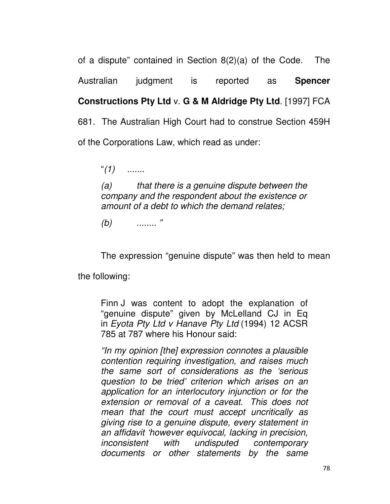of a dispute" contained in Section 8(2)(a) of the Code. The Australian judgment is reported as **Spencer Constructions Pty Ltd** v. **G & M Aldridge Pty Ltd**. [1997] FCA 681. The Australian High Court had to construe Section 459H of the Corporations Law, which read as under:

"*(1) .......*

*(a) that there is a genuine dispute between the company and the respondent about the existence or amount of a debt to which the demand relates;*

*(b) ........ "* 

The expression "genuine dispute" was then held to mean

the following:

Finn J was content to adopt the explanation of "genuine dispute" given by McLelland CJ in Eq in *Eyota Pty Ltd v Hanave Pty Ltd* (1994) 12 ACSR 785 at 787 where his Honour said:

*"In my opinion [the] expression connotes a plausible contention requiring investigation, and raises much the same sort of considerations as the 'serious question to be tried' criterion which arises on an application for an interlocutory injunction or for the extension or removal of a caveat. This does not mean that the court must accept uncritically as giving rise to a genuine dispute, every statement in an affidavit 'however equivocal, lacking in precision, inconsistent with undisputed contemporary documents or other statements by the same*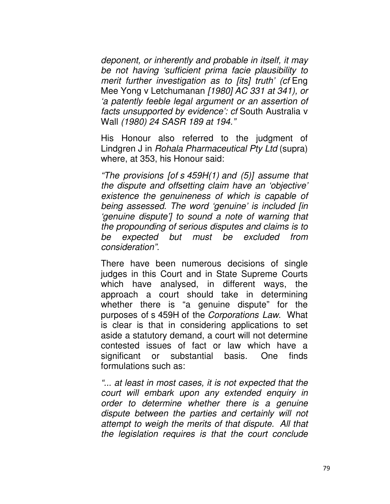*deponent, or inherently and probable in itself, it may be not having 'sufficient prima facie plausibility to merit further investigation as to [its] truth' (cf* Eng Mee Yong v Letchumanan *[1980] AC 331 at 341), or 'a patently feeble legal argument or an assertion of facts unsupported by evidence': cf* South Australia v Wall *(1980) 24 SASR 189 at 194."*

His Honour also referred to the judgment of Lindgren J in *Rohala Pharmaceutical Pty Ltd* (supra) where, at 353, his Honour said:

*"The provisions [of s 459H(1) and (5)] assume that the dispute and offsetting claim have an 'objective' existence the genuineness of which is capable of being assessed. The word 'genuine' is included [in 'genuine dispute'] to sound a note of warning that the propounding of serious disputes and claims is to be expected but must be excluded from consideration".*

There have been numerous decisions of single judges in this Court and in State Supreme Courts which have analysed, in different ways, the approach a court should take in determining whether there is "a genuine dispute" for the purposes of s 459H of the *Corporations Law*. What is clear is that in considering applications to set aside a statutory demand, a court will not determine contested issues of fact or law which have a significant or substantial basis. One finds formulations such as:

*"... at least in most cases, it is not expected that the court will embark upon any extended enquiry in order to determine whether there is a genuine dispute between the parties and certainly will not attempt to weigh the merits of that dispute. All that the legislation requires is that the court conclude*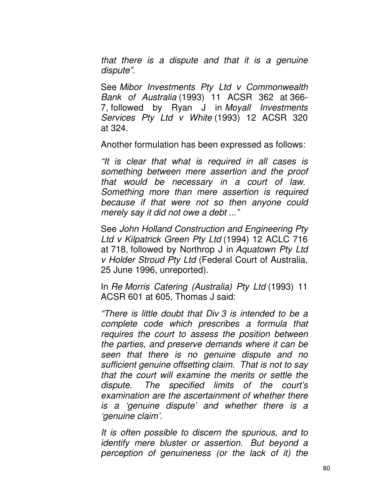*that there is a dispute and that it is a genuine dispute".*

See *Mibor Investments Pty Ltd v Commonwealth Bank of Australia* (1993) 11 ACSR 362 at 366- 7, followed by Ryan J in *Moyall Investments Services Pty Ltd v White* (1993) 12 ACSR 320 at 324.

Another formulation has been expressed as follows:

*"It is clear that what is required in all cases is something between mere assertion and the proof that would be necessary in a court of law. Something more than mere assertion is required because if that were not so then anyone could merely say it did not owe a debt ..."*

See *John Holland Construction and Engineering Pty Ltd v Kilpatrick Green Pty Ltd* (1994) 12 ACLC 716 at 718, followed by Northrop J in *Aquatown Pty Ltd v Holder Stroud Pty Ltd* (Federal Court of Australia, 25 June 1996, unreported).

In *Re Morris Catering (Australia) Pty Ltd* (1993) 11 ACSR 601 at 605, Thomas J said:

*"There is little doubt that Div 3 is intended to be a complete code which prescribes a formula that requires the court to assess the position between the parties, and preserve demands where it can be seen that there is no genuine dispute and no sufficient genuine offsetting claim. That is not to say that the court will examine the merits or settle the dispute. The specified limits of the court's examination are the ascertainment of whether there is a 'genuine dispute' and whether there is a 'genuine claim'.*

*It is often possible to discern the spurious, and to identify mere bluster or assertion. But beyond a perception of genuineness (or the lack of it) the*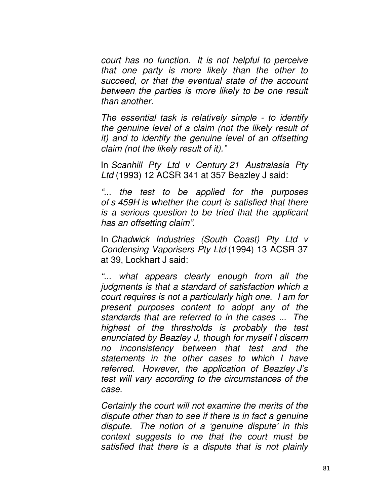*court has no function. It is not helpful to perceive that one party is more likely than the other to succeed, or that the eventual state of the account between the parties is more likely to be one result than another.*

*The essential task is relatively simple - to identify the genuine level of a claim (not the likely result of it) and to identify the genuine level of an offsetting claim (not the likely result of it)."*

In *Scanhill Pty Ltd v Century 21 Australasia Pty Ltd* (1993) 12 ACSR 341 at 357 Beazley J said:

*"... the test to be applied for the purposes of s 459H is whether the court is satisfied that there is a serious question to be tried that the applicant has an offsetting claim".*

In *Chadwick Industries (South Coast) Pty Ltd v Condensing Vaporisers Pty Ltd* (1994) 13 ACSR 37 at 39, Lockhart J said:

*"... what appears clearly enough from all the judgments is that a standard of satisfaction which a court requires is not a particularly high one. I am for present purposes content to adopt any of the standards that are referred to in the cases ... The highest of the thresholds is probably the test enunciated by Beazley J, though for myself I discern no inconsistency between that test and the statements in the other cases to which I have referred. However, the application of Beazley J's test will vary according to the circumstances of the case.*

*Certainly the court will not examine the merits of the dispute other than to see if there is in fact a genuine dispute. The notion of a 'genuine dispute' in this context suggests to me that the court must be satisfied that there is a dispute that is not plainly*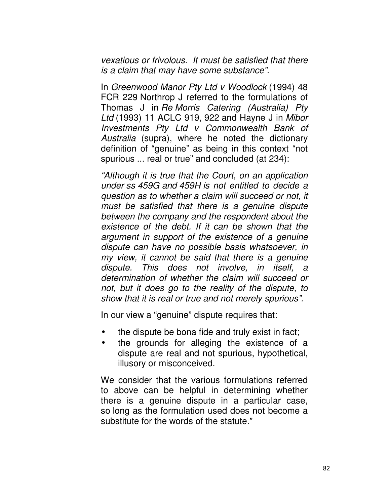*vexatious or frivolous. It must be satisfied that there is a claim that may have some substance".*

In *Greenwood Manor Pty Ltd v Woodlock* (1994) 48 FCR 229 Northrop J referred to the formulations of Thomas J in *Re Morris Catering (Australia) Pty Ltd* (1993) 11 ACLC 919, 922 and Hayne J in *Mibor Investments Pty Ltd v Commonwealth Bank of Australia* (supra), where he noted the dictionary definition of "genuine" as being in this context "not spurious ... real or true" and concluded (at 234):

*"Although it is true that the Court, on an application under ss 459G and 459H is not entitled to decide a question as to whether a claim will succeed or not, it must be satisfied that there is a genuine dispute between the company and the respondent about the existence of the debt. If it can be shown that the argument in support of the existence of a genuine dispute can have no possible basis whatsoever, in my view, it cannot be said that there is a genuine dispute. This does not involve, in itself, a determination of whether the claim will succeed or not, but it does go to the reality of the dispute, to show that it is real or true and not merely spurious".*

In our view a "genuine" dispute requires that:

- the dispute be bona fide and truly exist in fact;
- the grounds for alleging the existence of a dispute are real and not spurious, hypothetical, illusory or misconceived.

We consider that the various formulations referred to above can be helpful in determining whether there is a genuine dispute in a particular case, so long as the formulation used does not become a substitute for the words of the statute."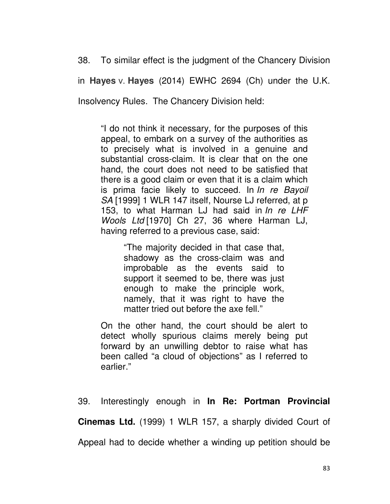38. To similar effect is the judgment of the Chancery Division

in **Hayes** v. **Hayes** (2014) EWHC 2694 (Ch) under the U.K.

Insolvency Rules. The Chancery Division held:

"I do not think it necessary, for the purposes of this appeal, to embark on a survey of the authorities as to precisely what is involved in a genuine and substantial cross-claim. It is clear that on the one hand, the court does not need to be satisfied that there is a good claim or even that it is a claim which is prima facie likely to succeed. In *In re Bayoil SA* [1999] 1 WLR 147 itself, Nourse LJ referred, at p 153, to what Harman LJ had said in *In re LHF Wools Ltd* [1970] Ch 27, 36 where Harman LJ, having referred to a previous case, said:

> "The majority decided in that case that, shadowy as the cross-claim was and improbable as the events said to support it seemed to be, there was just enough to make the principle work, namely, that it was right to have the matter tried out before the axe fell."

On the other hand, the court should be alert to detect wholly spurious claims merely being put forward by an unwilling debtor to raise what has been called "a cloud of objections" as I referred to earlier."

39. Interestingly enough in **In Re: Portman Provincial** 

**Cinemas Ltd.** (1999) 1 WLR 157, a sharply divided Court of

Appeal had to decide whether a winding up petition should be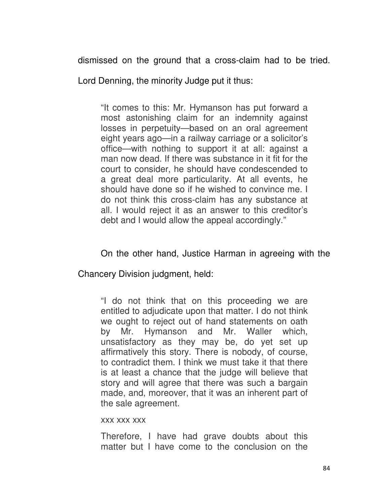dismissed on the ground that a cross-claim had to be tried.

Lord Denning, the minority Judge put it thus:

"It comes to this: Mr. Hymanson has put forward a most astonishing claim for an indemnity against losses in perpetuity—based on an oral agreement eight years ago—in a railway carriage or a solicitor's office—with nothing to support it at all: against a man now dead. If there was substance in it fit for the court to consider, he should have condescended to a great deal more particularity. At all events, he should have done so if he wished to convince me. I do not think this cross-claim has any substance at all. I would reject it as an answer to this creditor's debt and I would allow the appeal accordingly."

On the other hand, Justice Harman in agreeing with the

Chancery Division judgment, held:

"I do not think that on this proceeding we are entitled to adjudicate upon that matter. I do not think we ought to reject out of hand statements on oath by Mr. Hymanson and Mr. Waller which, unsatisfactory as they may be, do yet set up affirmatively this story. There is nobody, of course, to contradict them. I think we must take it that there is at least a chance that the judge will believe that story and will agree that there was such a bargain made, and, moreover, that it was an inherent part of the sale agreement.

## xxx xxx xxx

Therefore, I have had grave doubts about this matter but I have come to the conclusion on the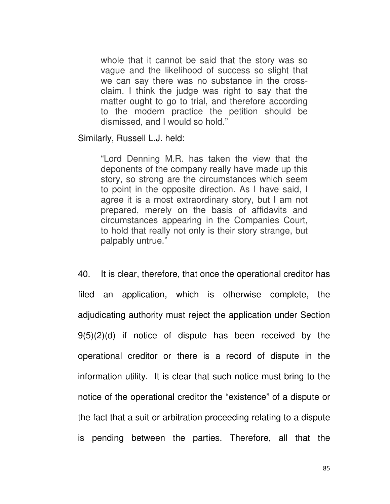whole that it cannot be said that the story was so vague and the likelihood of success so slight that we can say there was no substance in the crossclaim. I think the judge was right to say that the matter ought to go to trial, and therefore according to the modern practice the petition should be dismissed, and I would so hold."

Similarly, Russell L.J. held:

"Lord Denning M.R. has taken the view that the deponents of the company really have made up this story, so strong are the circumstances which seem to point in the opposite direction. As I have said, I agree it is a most extraordinary story, but I am not prepared, merely on the basis of affidavits and circumstances appearing in the Companies Court, to hold that really not only is their story strange, but palpably untrue."

40. It is clear, therefore, that once the operational creditor has filed an application, which is otherwise complete, the adjudicating authority must reject the application under Section 9(5)(2)(d) if notice of dispute has been received by the operational creditor or there is a record of dispute in the information utility. It is clear that such notice must bring to the notice of the operational creditor the "existence" of a dispute or the fact that a suit or arbitration proceeding relating to a dispute is pending between the parties. Therefore, all that the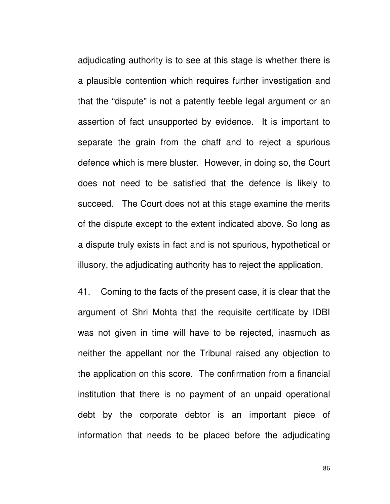adjudicating authority is to see at this stage is whether there is a plausible contention which requires further investigation and that the "dispute" is not a patently feeble legal argument or an assertion of fact unsupported by evidence. It is important to separate the grain from the chaff and to reject a spurious defence which is mere bluster. However, in doing so, the Court does not need to be satisfied that the defence is likely to succeed. The Court does not at this stage examine the merits of the dispute except to the extent indicated above. So long as a dispute truly exists in fact and is not spurious, hypothetical or illusory, the adjudicating authority has to reject the application.

41. Coming to the facts of the present case, it is clear that the argument of Shri Mohta that the requisite certificate by IDBI was not given in time will have to be rejected, inasmuch as neither the appellant nor the Tribunal raised any objection to the application on this score. The confirmation from a financial institution that there is no payment of an unpaid operational debt by the corporate debtor is an important piece of information that needs to be placed before the adjudicating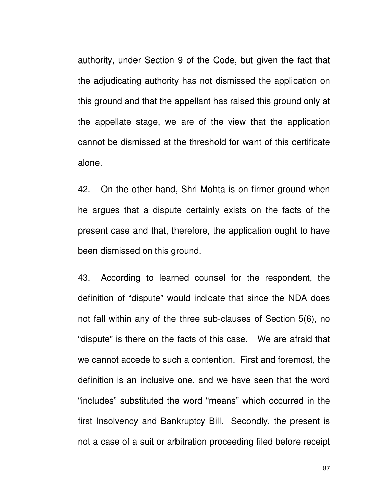authority, under Section 9 of the Code, but given the fact that the adjudicating authority has not dismissed the application on this ground and that the appellant has raised this ground only at the appellate stage, we are of the view that the application cannot be dismissed at the threshold for want of this certificate alone.

42. On the other hand, Shri Mohta is on firmer ground when he argues that a dispute certainly exists on the facts of the present case and that, therefore, the application ought to have been dismissed on this ground.

43. According to learned counsel for the respondent, the definition of "dispute" would indicate that since the NDA does not fall within any of the three sub-clauses of Section 5(6), no "dispute" is there on the facts of this case. We are afraid that we cannot accede to such a contention. First and foremost, the definition is an inclusive one, and we have seen that the word "includes" substituted the word "means" which occurred in the first Insolvency and Bankruptcy Bill. Secondly, the present is not a case of a suit or arbitration proceeding filed before receipt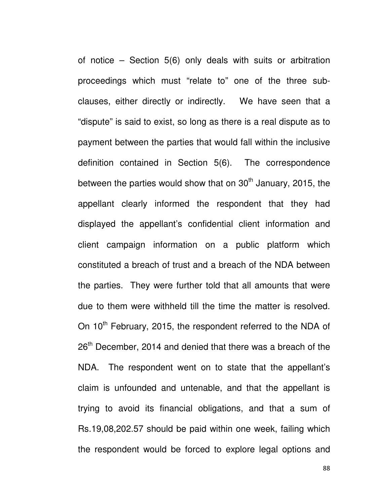of notice – Section 5(6) only deals with suits or arbitration proceedings which must "relate to" one of the three subclauses, either directly or indirectly. We have seen that a "dispute" is said to exist, so long as there is a real dispute as to payment between the parties that would fall within the inclusive definition contained in Section 5(6). The correspondence between the parties would show that on  $30<sup>th</sup>$  January, 2015, the appellant clearly informed the respondent that they had displayed the appellant's confidential client information and client campaign information on a public platform which constituted a breach of trust and a breach of the NDA between the parties. They were further told that all amounts that were due to them were withheld till the time the matter is resolved. On 10<sup>th</sup> February, 2015, the respondent referred to the NDA of 26<sup>th</sup> December, 2014 and denied that there was a breach of the NDA. The respondent went on to state that the appellant's claim is unfounded and untenable, and that the appellant is trying to avoid its financial obligations, and that a sum of Rs.19,08,202.57 should be paid within one week, failing which the respondent would be forced to explore legal options and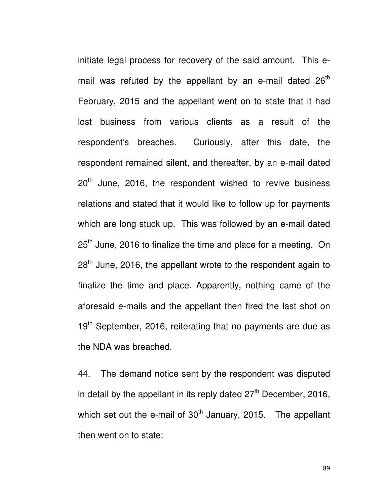initiate legal process for recovery of the said amount. This email was refuted by the appellant by an e-mail dated  $26<sup>th</sup>$ February, 2015 and the appellant went on to state that it had lost business from various clients as a result of the respondent's breaches. Curiously, after this date, the respondent remained silent, and thereafter, by an e-mail dated  $20<sup>th</sup>$  June, 2016, the respondent wished to revive business relations and stated that it would like to follow up for payments which are long stuck up. This was followed by an e-mail dated  $25<sup>th</sup>$  June, 2016 to finalize the time and place for a meeting. On 28<sup>th</sup> June, 2016, the appellant wrote to the respondent again to finalize the time and place. Apparently, nothing came of the aforesaid e-mails and the appellant then fired the last shot on  $19<sup>th</sup>$  September, 2016, reiterating that no payments are due as the NDA was breached.

44. The demand notice sent by the respondent was disputed in detail by the appellant in its reply dated  $27<sup>th</sup>$  December, 2016, which set out the e-mail of  $30<sup>th</sup>$  January, 2015. The appellant then went on to state: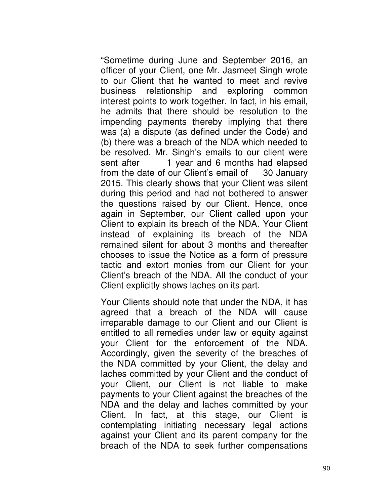"Sometime during June and September 2016, an officer of your Client, one Mr. Jasmeet Singh wrote to our Client that he wanted to meet and revive business relationship and exploring common interest points to work together. In fact, in his email, he admits that there should be resolution to the impending payments thereby implying that there was (a) a dispute (as defined under the Code) and (b) there was a breach of the NDA which needed to be resolved. Mr. Singh's emails to our client were sent after 1 year and 6 months had elapsed from the date of our Client's email of 30 January 2015. This clearly shows that your Client was silent during this period and had not bothered to answer the questions raised by our Client. Hence, once again in September, our Client called upon your Client to explain its breach of the NDA. Your Client instead of explaining its breach of the NDA remained silent for about 3 months and thereafter chooses to issue the Notice as a form of pressure tactic and extort monies from our Client for your Client's breach of the NDA. All the conduct of your Client explicitly shows laches on its part.

Your Clients should note that under the NDA, it has agreed that a breach of the NDA will cause irreparable damage to our Client and our Client is entitled to all remedies under law or equity against your Client for the enforcement of the NDA. Accordingly, given the severity of the breaches of the NDA committed by your Client, the delay and laches committed by your Client and the conduct of your Client, our Client is not liable to make payments to your Client against the breaches of the NDA and the delay and laches committed by your Client. In fact, at this stage, our Client is contemplating initiating necessary legal actions against your Client and its parent company for the breach of the NDA to seek further compensations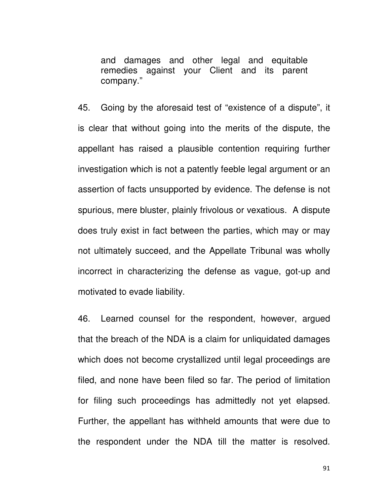and damages and other legal and equitable remedies against your Client and its parent company."

45. Going by the aforesaid test of "existence of a dispute", it is clear that without going into the merits of the dispute, the appellant has raised a plausible contention requiring further investigation which is not a patently feeble legal argument or an assertion of facts unsupported by evidence. The defense is not spurious, mere bluster, plainly frivolous or vexatious. A dispute does truly exist in fact between the parties, which may or may not ultimately succeed, and the Appellate Tribunal was wholly incorrect in characterizing the defense as vague, got-up and motivated to evade liability.

46. Learned counsel for the respondent, however, argued that the breach of the NDA is a claim for unliquidated damages which does not become crystallized until legal proceedings are filed, and none have been filed so far. The period of limitation for filing such proceedings has admittedly not yet elapsed. Further, the appellant has withheld amounts that were due to the respondent under the NDA till the matter is resolved.